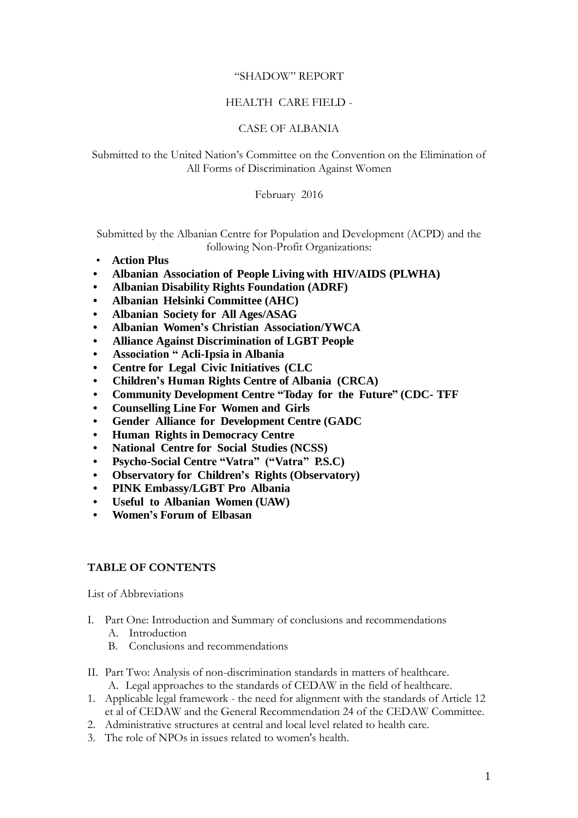#### "SHADOW" REPORT

### HEALTH CARE FIELD -

### CASE OF ALBANIA

### Submitted to the United Nation's Committee on the Convention on the Elimination of All Forms of Discrimination Against Women

February 2016

Submitted by the Albanian Centre for Population and Development (ACPD) and the following Non-Profit Organizations:

- **Action Plus**
- **Albanian Association of People Living with HIV/AIDS (PLWHA)**
- **Albanian Disability Rights Foundation (ADRF)**
- **Albanian Helsinki Committee (AHC)**
- **Albanian Society for All Ages/ASAG**
- **Albanian Women's Christian Association/YWCA**
- **Alliance Against Discrimination of LGBT People**
- **Association " Acli-Ipsia in Albania**
- **Centre for Legal Civic Initiatives (CLC**
- **Children's Human Rights Centre of Albania (CRCA)**
- **Community Development Centre "Today for the Future" (CDC- TFF**
- **Counselling Line For Women and Girls**
- **Gender Alliance for Development Centre (GADC**
- **Human Rights in Democracy Centre**
- **National Centre for Social Studies (NCSS)**
- **Psycho-Social Centre "Vatra" ("Vatra" P.S.C)**
- **Observatory for Children's Rights (Observatory)**
- **PINK Embassy/LGBT Pro Albania**
- **Useful to Albanian Women (UAW)**
- **Women's Forum of Elbasan**

#### **TABLE OF CONTENTS**

List of Abbreviations

- I. Part One: Introduction and Summary of conclusions and recommendations
	- A. Introduction
	- B. Conclusions and recommendations
- II. Part Two: Analysis of non-discrimination standards in matters of healthcare. A. Legal approaches to the standards of CEDAW in the field of healthcare.
- 1. Applicable legal framework the need for alignment with the standards of Article 12 et al of CEDAW and the General Recommendation 24 of the CEDAW Committee.
- 2. Administrative structures at central and local level related to health care.
- 3. The role of NPOs in issues related to women's health.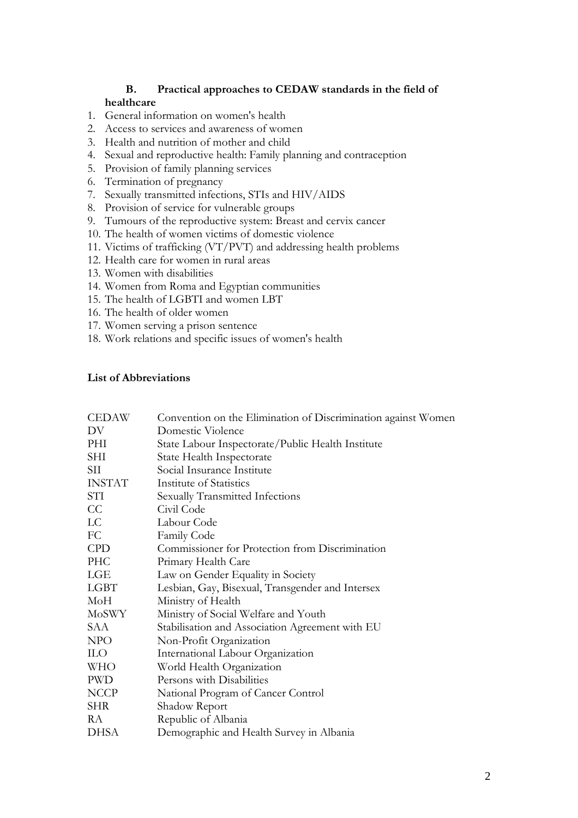### **B. Practical approaches to CEDAW standards in the field of healthcare**

- 1. General information on women's health
- 2. Access to services and awareness of women
- 3. Health and nutrition of mother and child
- 4. Sexual and reproductive health: Family planning and contraception
- 5. Provision of family planning services
- 6. Termination of pregnancy
- 7. Sexually transmitted infections, STIs and HIV/AIDS
- 8. Provision of service for vulnerable groups
- 9. Tumours of the reproductive system: Breast and cervix cancer
- 10. The health of women victims of domestic violence
- 11. Victims of trafficking (VT/PVT) and addressing health problems
- 12. Health care for women in rural areas
- 13. Women with disabilities
- 14. Women from Roma and Egyptian communities
- 15. The health of LGBTI and women LBT
- 16. The health of older women
- 17. Women serving a prison sentence
- 18. Work relations and specific issues of women's health

### **List of Abbreviations**

| Domestic Violence<br>DV<br>State Labour Inspectorate/Public Health Institute<br>PHI<br>State Health Inspectorate<br><b>SHI</b><br>Social Insurance Institute<br>SII<br><b>INSTAT</b><br>Institute of Statistics |  |
|-----------------------------------------------------------------------------------------------------------------------------------------------------------------------------------------------------------------|--|
|                                                                                                                                                                                                                 |  |
|                                                                                                                                                                                                                 |  |
|                                                                                                                                                                                                                 |  |
|                                                                                                                                                                                                                 |  |
|                                                                                                                                                                                                                 |  |
| STI<br>Sexually Transmitted Infections                                                                                                                                                                          |  |
| CC<br>Civil Code                                                                                                                                                                                                |  |
| LC<br>Labour Code                                                                                                                                                                                               |  |
| FC<br>Family Code                                                                                                                                                                                               |  |
| <b>CPD</b><br>Commissioner for Protection from Discrimination                                                                                                                                                   |  |
| <b>PHC</b><br>Primary Health Care                                                                                                                                                                               |  |
| LGE<br>Law on Gender Equality in Society                                                                                                                                                                        |  |
| <b>LGBT</b><br>Lesbian, Gay, Bisexual, Transgender and Intersex                                                                                                                                                 |  |
| MoH<br>Ministry of Health                                                                                                                                                                                       |  |
| Ministry of Social Welfare and Youth<br>MoSWY                                                                                                                                                                   |  |
| Stabilisation and Association Agreement with EU<br>SAA                                                                                                                                                          |  |
| NPO<br>Non-Profit Organization                                                                                                                                                                                  |  |
| <b>ILO</b><br>International Labour Organization                                                                                                                                                                 |  |
| World Health Organization<br><b>WHO</b>                                                                                                                                                                         |  |
| Persons with Disabilities<br><b>PWD</b>                                                                                                                                                                         |  |
| <b>NCCP</b><br>National Program of Cancer Control                                                                                                                                                               |  |
| Shadow Report<br><b>SHR</b>                                                                                                                                                                                     |  |
| Republic of Albania<br>RA                                                                                                                                                                                       |  |
| Demographic and Health Survey in Albania<br><b>DHSA</b>                                                                                                                                                         |  |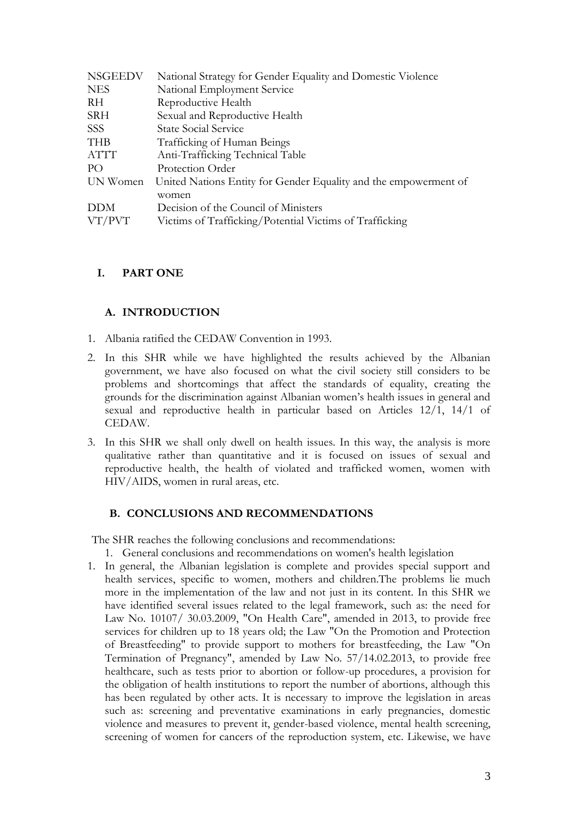| <b>NSGEEDV</b> | National Strategy for Gender Equality and Domestic Violence      |
|----------------|------------------------------------------------------------------|
| <b>NES</b>     | National Employment Service                                      |
| RH             | Reproductive Health                                              |
| <b>SRH</b>     | Sexual and Reproductive Health                                   |
| <b>SSS</b>     | <b>State Social Service</b>                                      |
| <b>THB</b>     | Trafficking of Human Beings                                      |
| ATTT           | Anti-Trafficking Technical Table                                 |
| P()            | Protection Order                                                 |
| UN Women       | United Nations Entity for Gender Equality and the empowerment of |
|                | women                                                            |
| <b>DDM</b>     | Decision of the Council of Ministers                             |
| VT/PVT         | Victims of Trafficking/Potential Victims of Trafficking          |

## **I. PART ONE**

## **A. INTRODUCTION**

- 1. Albania ratified the CEDAW Convention in 1993.
- 2. In this SHR while we have highlighted the results achieved by the Albanian government, we have also focused on what the civil society still considers to be problems and shortcomings that affect the standards of equality, creating the grounds for the discrimination against Albanian women's health issues in general and sexual and reproductive health in particular based on Articles 12/1, 14/1 of CEDAW.
- 3. In this SHR we shall only dwell on health issues. In this way, the analysis is more qualitative rather than quantitative and it is focused on issues of sexual and reproductive health, the health of violated and trafficked women, women with HIV/AIDS, women in rural areas, etc.

### **B. CONCLUSIONS AND RECOMMENDATIONS**

The SHR reaches the following conclusions and recommendations:

- 1. General conclusions and recommendations on women's health legislation
- 1. In general, the Albanian legislation is complete and provides special support and health services, specific to women, mothers and children.The problems lie much more in the implementation of the law and not just in its content. In this SHR we have identified several issues related to the legal framework, such as: the need for Law No. 10107/ 30.03.2009, "On Health Care", amended in 2013, to provide free services for children up to 18 years old; the Law "On the Promotion and Protection of Breastfeeding" to provide support to mothers for breastfeeding, the Law "On Termination of Pregnancy", amended by Law No. 57/14.02.2013, to provide free healthcare, such as tests prior to abortion or follow-up procedures, a provision for the obligation of health institutions to report the number of abortions, although this has been regulated by other acts. It is necessary to improve the legislation in areas such as: screening and preventative examinations in early pregnancies, domestic violence and measures to prevent it, gender-based violence, mental health screening, screening of women for cancers of the reproduction system, etc. Likewise, we have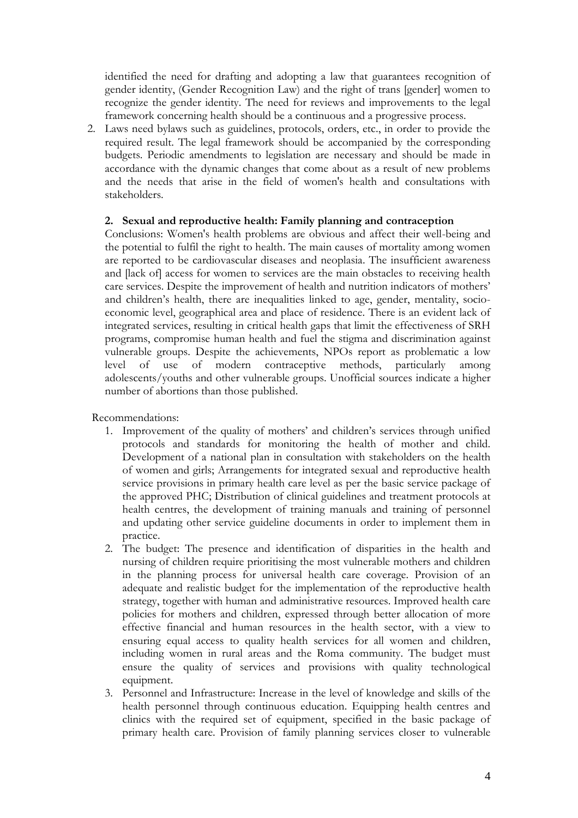identified the need for drafting and adopting a law that guarantees recognition of gender identity, (Gender Recognition Law) and the right of trans [gender] women to recognize the gender identity. The need for reviews and improvements to the legal framework concerning health should be a continuous and a progressive process.

2. Laws need bylaws such as guidelines, protocols, orders, etc., in order to provide the required result. The legal framework should be accompanied by the corresponding budgets. Periodic amendments to legislation are necessary and should be made in accordance with the dynamic changes that come about as a result of new problems and the needs that arise in the field of women's health and consultations with stakeholders.

### **2. Sexual and reproductive health: Family planning and contraception**

Conclusions: Women's health problems are obvious and affect their well-being and the potential to fulfil the right to health. The main causes of mortality among women are reported to be cardiovascular diseases and neoplasia. The insufficient awareness and [lack of] access for women to services are the main obstacles to receiving health care services. Despite the improvement of health and nutrition indicators of mothers' and children's health, there are inequalities linked to age, gender, mentality, socioeconomic level, geographical area and place of residence. There is an evident lack of integrated services, resulting in critical health gaps that limit the effectiveness of SRH programs, compromise human health and fuel the stigma and discrimination against vulnerable groups. Despite the achievements, NPOs report as problematic a low level of use of modern contraceptive methods, particularly among adolescents/youths and other vulnerable groups. Unofficial sources indicate a higher number of abortions than those published.

Recommendations:

- 1. Improvement of the quality of mothers' and children's services through unified protocols and standards for monitoring the health of mother and child. Development of a national plan in consultation with stakeholders on the health of women and girls; Arrangements for integrated sexual and reproductive health service provisions in primary health care level as per the basic service package of the approved PHC; Distribution of clinical guidelines and treatment protocols at health centres, the development of training manuals and training of personnel and updating other service guideline documents in order to implement them in practice.
- 2. The budget: The presence and identification of disparities in the health and nursing of children require prioritising the most vulnerable mothers and children in the planning process for universal health care coverage. Provision of an adequate and realistic budget for the implementation of the reproductive health strategy, together with human and administrative resources. Improved health care policies for mothers and children, expressed through better allocation of more effective financial and human resources in the health sector, with a view to ensuring equal access to quality health services for all women and children, including women in rural areas and the Roma community. The budget must ensure the quality of services and provisions with quality technological equipment.
- 3. Personnel and Infrastructure: Increase in the level of knowledge and skills of the health personnel through continuous education. Equipping health centres and clinics with the required set of equipment, specified in the basic package of primary health care. Provision of family planning services closer to vulnerable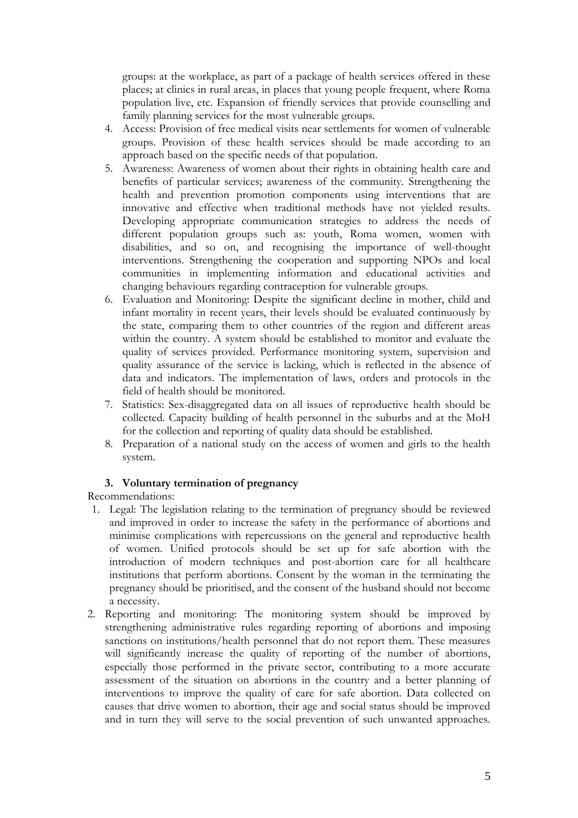groups: at the workplace, as part of a package of health services offered in these places; at clinics in rural areas, in places that young people frequent, where Roma population live, etc. Expansion of friendly services that provide counselling and family planning services for the most vulnerable groups.

- 4. Access: Provision of free medical visits near settlements for women of vulnerable groups. Provision of these health services should be made according to an approach based on the specific needs of that population.
- 5. Awareness: Awareness of women about their rights in obtaining health care and benefits of particular services; awareness of the community. Strengthening the health and prevention promotion components using interventions that are innovative and effective when traditional methods have not yielded results. Developing appropriate communication strategies to address the needs of different population groups such as: youth, Roma women, women with disabilities, and so on, and recognising the importance of well-thought interventions. Strengthening the cooperation and supporting NPOs and local communities in implementing information and educational activities and changing behaviours regarding contraception for vulnerable groups.
- 6. Evaluation and Monitoring: Despite the significant decline in mother, child and infant mortality in recent years, their levels should be evaluated continuously by the state, comparing them to other countries of the region and different areas within the country. A system should be established to monitor and evaluate the quality of services provided. Performance monitoring system, supervision and quality assurance of the service is lacking, which is reflected in the absence of data and indicators. The implementation of laws, orders and protocols in the field of health should be monitored.
- 7. Statistics: Sex-disaggregated data on all issues of reproductive health should be collected. Capacity building of health personnel in the suburbs and at the MoH for the collection and reporting of quality data should be established.
- 8. Preparation of a national study on the access of women and girls to the health system.

# **3. Voluntary termination of pregnancy**

Recommendations:

- 1. Legal: The legislation relating to the termination of pregnancy should be reviewed and improved in order to increase the safety in the performance of abortions and minimise complications with repercussions on the general and reproductive health of women. Unified protocols should be set up for safe abortion with the introduction of modern techniques and post-abortion care for all healthcare institutions that perform abortions. Consent by the woman in the terminating the pregnancy should be prioritised, and the consent of the husband should not become a necessity.
- 2. Reporting and monitoring: The monitoring system should be improved by strengthening administrative rules regarding reporting of abortions and imposing sanctions on institutions/health personnel that do not report them. These measures will significantly increase the quality of reporting of the number of abortions, especially those performed in the private sector, contributing to a more accurate assessment of the situation on abortions in the country and a better planning of interventions to improve the quality of care for safe abortion. Data collected on causes that drive women to abortion, their age and social status should be improved and in turn they will serve to the social prevention of such unwanted approaches.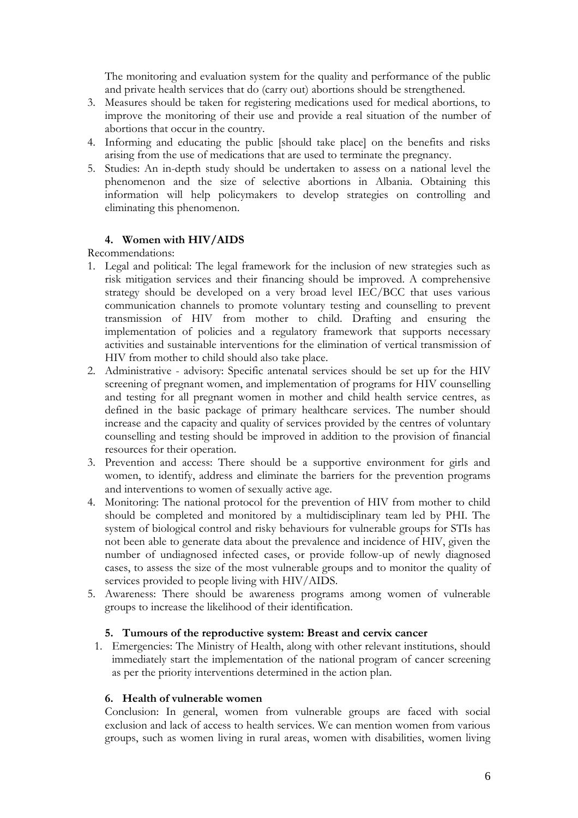The monitoring and evaluation system for the quality and performance of the public and private health services that do (carry out) abortions should be strengthened.

- 3. Measures should be taken for registering medications used for medical abortions, to improve the monitoring of their use and provide a real situation of the number of abortions that occur in the country.
- 4. Informing and educating the public [should take place] on the benefits and risks arising from the use of medications that are used to terminate the pregnancy.
- 5. Studies: An in-depth study should be undertaken to assess on a national level the phenomenon and the size of selective abortions in Albania. Obtaining this information will help policymakers to develop strategies on controlling and eliminating this phenomenon.

# **4. Women with HIV/AIDS**

## Recommendations:

- 1. Legal and political: The legal framework for the inclusion of new strategies such as risk mitigation services and their financing should be improved. A comprehensive strategy should be developed on a very broad level IEC/BCC that uses various communication channels to promote voluntary testing and counselling to prevent transmission of HIV from mother to child. Drafting and ensuring the implementation of policies and a regulatory framework that supports necessary activities and sustainable interventions for the elimination of vertical transmission of HIV from mother to child should also take place.
- 2. Administrative advisory: Specific antenatal services should be set up for the HIV screening of pregnant women, and implementation of programs for HIV counselling and testing for all pregnant women in mother and child health service centres, as defined in the basic package of primary healthcare services. The number should increase and the capacity and quality of services provided by the centres of voluntary counselling and testing should be improved in addition to the provision of financial resources for their operation.
- 3. Prevention and access: There should be a supportive environment for girls and women, to identify, address and eliminate the barriers for the prevention programs and interventions to women of sexually active age.
- 4. Monitoring: The national protocol for the prevention of HIV from mother to child should be completed and monitored by a multidisciplinary team led by PHI. The system of biological control and risky behaviours for vulnerable groups for STIs has not been able to generate data about the prevalence and incidence of HIV, given the number of undiagnosed infected cases, or provide follow-up of newly diagnosed cases, to assess the size of the most vulnerable groups and to monitor the quality of services provided to people living with HIV/AIDS.
- 5. Awareness: There should be awareness programs among women of vulnerable groups to increase the likelihood of their identification.

### **5. Tumours of the reproductive system: Breast and cervix cancer**

1. Emergencies: The Ministry of Health, along with other relevant institutions, should immediately start the implementation of the national program of cancer screening as per the priority interventions determined in the action plan.

### **6. Health of vulnerable women**

Conclusion: In general, women from vulnerable groups are faced with social exclusion and lack of access to health services. We can mention women from various groups, such as women living in rural areas, women with disabilities, women living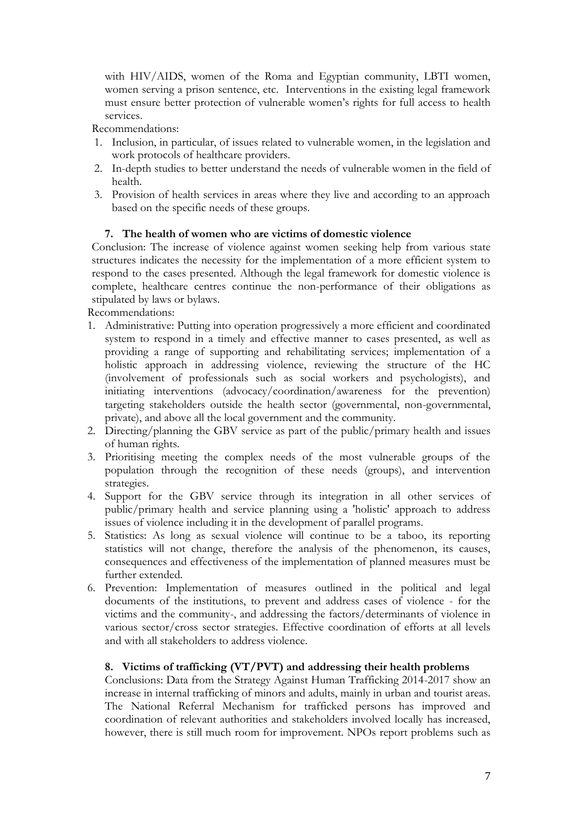with HIV/AIDS, women of the Roma and Egyptian community, LBTI women, women serving a prison sentence, etc. Interventions in the existing legal framework must ensure better protection of vulnerable women's rights for full access to health services.

Recommendations:

- 1. Inclusion, in particular, of issues related to vulnerable women, in the legislation and work protocols of healthcare providers.
- 2. In-depth studies to better understand the needs of vulnerable women in the field of health.
- 3. Provision of health services in areas where they live and according to an approach based on the specific needs of these groups.

## **7. The health of women who are victims of domestic violence**

Conclusion: The increase of violence against women seeking help from various state structures indicates the necessity for the implementation of a more efficient system to respond to the cases presented. Although the legal framework for domestic violence is complete, healthcare centres continue the non-performance of their obligations as stipulated by laws or bylaws.

Recommendations:

- 1. Administrative: Putting into operation progressively a more efficient and coordinated system to respond in a timely and effective manner to cases presented, as well as providing a range of supporting and rehabilitating services; implementation of a holistic approach in addressing violence, reviewing the structure of the HC (involvement of professionals such as social workers and psychologists), and initiating interventions (advocacy/coordination/awareness for the prevention) targeting stakeholders outside the health sector (governmental, non-governmental, private), and above all the local government and the community.
- 2. Directing/planning the GBV service as part of the public/primary health and issues of human rights.
- 3. Prioritising meeting the complex needs of the most vulnerable groups of the population through the recognition of these needs (groups), and intervention strategies.
- 4. Support for the GBV service through its integration in all other services of public/primary health and service planning using a 'holistic' approach to address issues of violence including it in the development of parallel programs.
- 5. Statistics: As long as sexual violence will continue to be a taboo, its reporting statistics will not change, therefore the analysis of the phenomenon, its causes, consequences and effectiveness of the implementation of planned measures must be further extended.
- 6. Prevention: Implementation of measures outlined in the political and legal documents of the institutions, to prevent and address cases of violence - for the victims and the community-, and addressing the factors/determinants of violence in various sector/cross sector strategies. Effective coordination of efforts at all levels and with all stakeholders to address violence.

# **8. Victims of trafficking (VT/PVT) and addressing their health problems**

Conclusions: Data from the Strategy Against Human Trafficking 2014-2017 show an increase in internal trafficking of minors and adults, mainly in urban and tourist areas. The National Referral Mechanism for trafficked persons has improved and coordination of relevant authorities and stakeholders involved locally has increased, however, there is still much room for improvement. NPOs report problems such as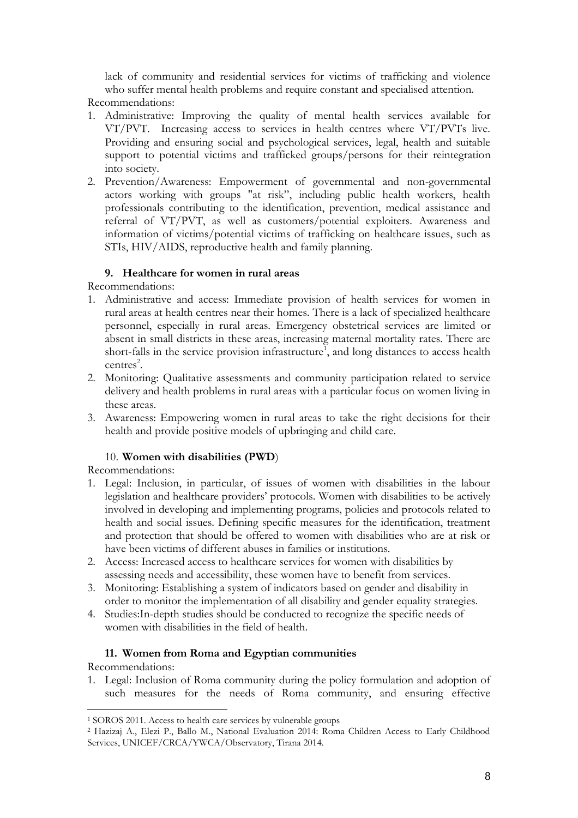lack of community and residential services for victims of trafficking and violence who suffer mental health problems and require constant and specialised attention.

Recommendations:

- 1. Administrative: Improving the quality of mental health services available for VT/PVT. Increasing access to services in health centres where VT/PVTs live. Providing and ensuring social and psychological services, legal, health and suitable support to potential victims and trafficked groups/persons for their reintegration into society.
- 2. Prevention/Awareness: Empowerment of governmental and non-governmental actors working with groups "at risk", including public health workers, health professionals contributing to the identification, prevention, medical assistance and referral of VT/PVT, as well as customers/potential exploiters. Awareness and information of victims/potential victims of trafficking on healthcare issues, such as STIs, HIV/AIDS, reproductive health and family planning.

# **9. Healthcare for women in rural areas**

Recommendations:

- 1. Administrative and access: Immediate provision of health services for women in rural areas at health centres near their homes. There is a lack of specialized healthcare personnel, especially in rural areas. Emergency obstetrical services are limited or absent in small districts in these areas, increasing maternal mortality rates. There are short-falls in the service provision infrastructure<sup>1</sup>, and long distances to access health  $centres<sup>2</sup>$ .
- 2. Monitoring: Qualitative assessments and community participation related to service delivery and health problems in rural areas with a particular focus on women living in these areas.
- 3. Awareness: Empowering women in rural areas to take the right decisions for their health and provide positive models of upbringing and child care.

# 10. **Women with disabilities (PWD**)

Recommendations:

- 1. Legal: Inclusion, in particular, of issues of women with disabilities in the labour legislation and healthcare providers' protocols. Women with disabilities to be actively involved in developing and implementing programs, policies and protocols related to health and social issues. Defining specific measures for the identification, treatment and protection that should be offered to women with disabilities who are at risk or have been victims of different abuses in families or institutions.
- 2. Access: Increased access to healthcare services for women with disabilities by assessing needs and accessibility, these women have to benefit from services.
- 3. Monitoring: Establishing a system of indicators based on gender and disability in order to monitor the implementation of all disability and gender equality strategies.
- 4. Studies:In-depth studies should be conducted to recognize the specific needs of women with disabilities in the field of health.

# **11. Women from Roma and Egyptian communities**

Recommendations:

 $\overline{a}$ 

1. Legal: Inclusion of Roma community during the policy formulation and adoption of such measures for the needs of Roma community, and ensuring effective

<sup>1</sup> SOROS 2011. Access to health care services by vulnerable groups

<sup>2</sup> Hazizaj A., Elezi P., Ballo M., National Evaluation 2014: Roma Children Access to Early Childhood Services, UNICEF/CRCA/YWCA/Observatory, Tirana 2014.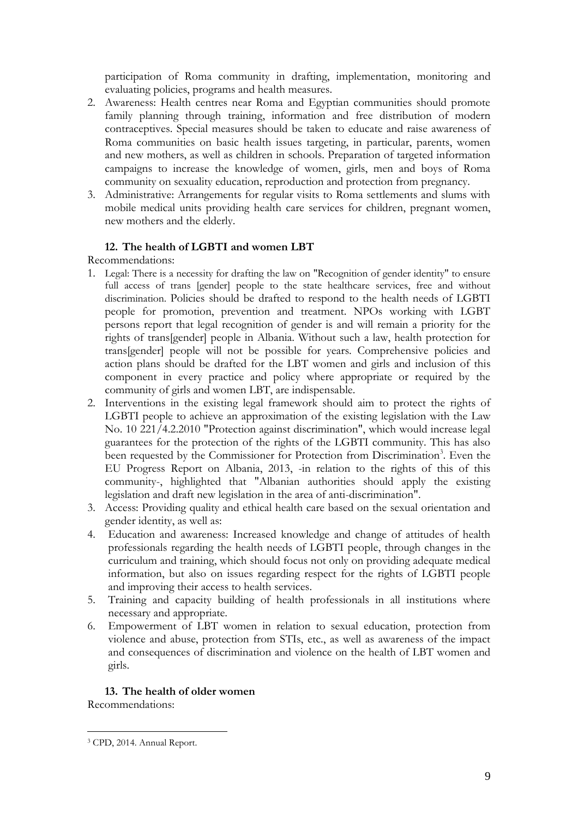participation of Roma community in drafting, implementation, monitoring and evaluating policies, programs and health measures.

- 2. Awareness: Health centres near Roma and Egyptian communities should promote family planning through training, information and free distribution of modern contraceptives. Special measures should be taken to educate and raise awareness of Roma communities on basic health issues targeting, in particular, parents, women and new mothers, as well as children in schools. Preparation of targeted information campaigns to increase the knowledge of women, girls, men and boys of Roma community on sexuality education, reproduction and protection from pregnancy.
- 3. Administrative: Arrangements for regular visits to Roma settlements and slums with mobile medical units providing health care services for children, pregnant women, new mothers and the elderly.

### **12. The health of LGBTI and women LBT**

Recommendations:

- 1. Legal: There is a necessity for drafting the law on "Recognition of gender identity" to ensure full access of trans [gender] people to the state healthcare services, free and without discrimination. Policies should be drafted to respond to the health needs of LGBTI people for promotion, prevention and treatment. NPOs working with LGBT persons report that legal recognition of gender is and will remain a priority for the rights of trans[gender] people in Albania. Without such a law, health protection for trans[gender] people will not be possible for years. Comprehensive policies and action plans should be drafted for the LBT women and girls and inclusion of this component in every practice and policy where appropriate or required by the community of girls and women LBT, are indispensable.
- 2. Interventions in the existing legal framework should aim to protect the rights of LGBTI people to achieve an approximation of the existing legislation with the Law No. 10 221/4.2.2010 "Protection against discrimination", which would increase legal guarantees for the protection of the rights of the LGBTI community. This has also been requested by the Commissioner for Protection from Discrimination<sup>3</sup>. Even the EU Progress Report on Albania, 2013, -in relation to the rights of this of this community-, highlighted that "Albanian authorities should apply the existing legislation and draft new legislation in the area of anti-discrimination".
- 3. Access: Providing quality and ethical health care based on the sexual orientation and gender identity, as well as:
- 4. Education and awareness: Increased knowledge and change of attitudes of health professionals regarding the health needs of LGBTI people, through changes in the curriculum and training, which should focus not only on providing adequate medical information, but also on issues regarding respect for the rights of LGBTI people and improving their access to health services.
- 5. Training and capacity building of health professionals in all institutions where necessary and appropriate.
- 6. Empowerment of LBT women in relation to sexual education, protection from violence and abuse, protection from STIs, etc., as well as awareness of the impact and consequences of discrimination and violence on the health of LBT women and girls.

# **13. The health of older women**

Recommendations:

 $\overline{a}$ <sup>3</sup> CPD, 2014. Annual Report.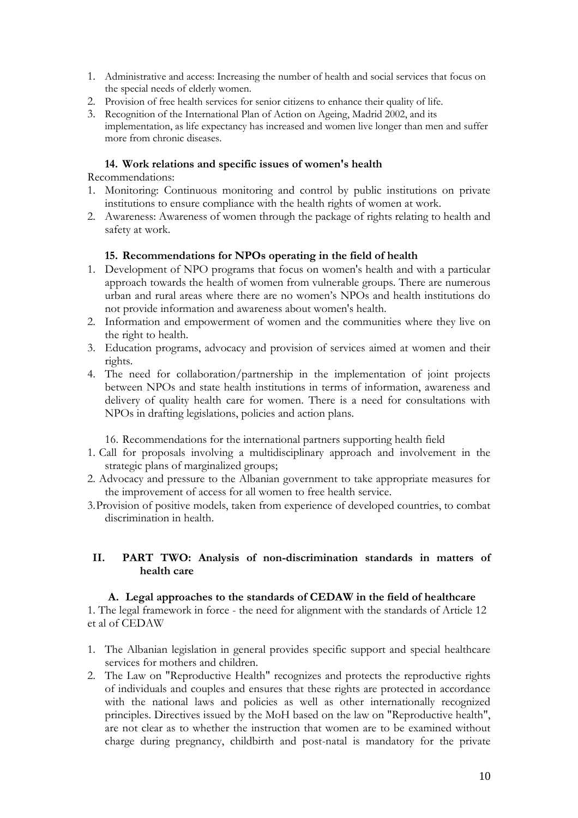- 1. Administrative and access: Increasing the number of health and social services that focus on the special needs of elderly women.
- 2. Provision of free health services for senior citizens to enhance their quality of life.
- 3. Recognition of the International Plan of Action on Ageing, Madrid 2002, and its implementation, as life expectancy has increased and women live longer than men and suffer more from chronic diseases.

### **14. Work relations and specific issues of women's health**

Recommendations:

- 1. Monitoring: Continuous monitoring and control by public institutions on private institutions to ensure compliance with the health rights of women at work.
- 2. Awareness: Awareness of women through the package of rights relating to health and safety at work.

#### **15. Recommendations for NPOs operating in the field of health**

- 1. Development of NPO programs that focus on women's health and with a particular approach towards the health of women from vulnerable groups. There are numerous urban and rural areas where there are no women's NPOs and health institutions do not provide information and awareness about women's health.
- 2. Information and empowerment of women and the communities where they live on the right to health.
- 3. Education programs, advocacy and provision of services aimed at women and their rights.
- 4. The need for collaboration/partnership in the implementation of joint projects between NPOs and state health institutions in terms of information, awareness and delivery of quality health care for women. There is a need for consultations with NPOs in drafting legislations, policies and action plans.

16. Recommendations for the international partners supporting health field

- 1. Call for proposals involving a multidisciplinary approach and involvement in the strategic plans of marginalized groups;
- 2. Advocacy and pressure to the Albanian government to take appropriate measures for the improvement of access for all women to free health service.
- 3.Provision of positive models, taken from experience of developed countries, to combat discrimination in health.

### **II. PART TWO: Analysis of non-discrimination standards in matters of health care**

#### **A. Legal approaches to the standards of CEDAW in the field of healthcare**

1. The legal framework in force - the need for alignment with the standards of Article 12 et al of CEDAW

- 1. The Albanian legislation in general provides specific support and special healthcare services for mothers and children.
- 2. The Law on "Reproductive Health" recognizes and protects the reproductive rights of individuals and couples and ensures that these rights are protected in accordance with the national laws and policies as well as other internationally recognized principles. Directives issued by the MoH based on the law on "Reproductive health", are not clear as to whether the instruction that women are to be examined without charge during pregnancy, childbirth and post-natal is mandatory for the private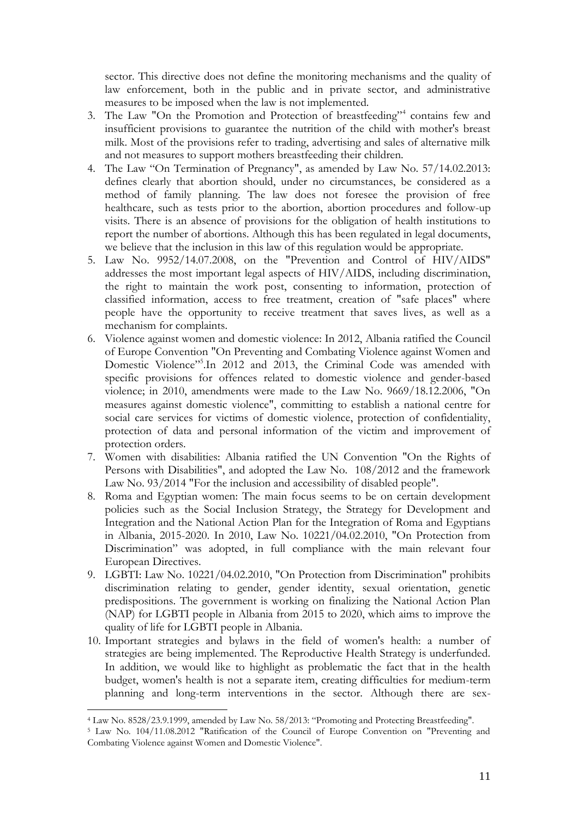sector. This directive does not define the monitoring mechanisms and the quality of law enforcement, both in the public and in private sector, and administrative measures to be imposed when the law is not implemented.

- 3. The Law "On the Promotion and Protection of breastfeeding"<sup>4</sup> contains few and insufficient provisions to guarantee the nutrition of the child with mother's breast milk. Most of the provisions refer to trading, advertising and sales of alternative milk and not measures to support mothers breastfeeding their children.
- 4. The Law "On Termination of Pregnancy", as amended by Law No. 57/14.02.2013: defines clearly that abortion should, under no circumstances, be considered as a method of family planning. The law does not foresee the provision of free healthcare, such as tests prior to the abortion, abortion procedures and follow-up visits. There is an absence of provisions for the obligation of health institutions to report the number of abortions. Although this has been regulated in legal documents, we believe that the inclusion in this law of this regulation would be appropriate.
- 5. Law No. 9952/14.07.2008, on the "Prevention and Control of HIV/AIDS" addresses the most important legal aspects of HIV/AIDS, including discrimination, the right to maintain the work post, consenting to information, protection of classified information, access to free treatment, creation of "safe places" where people have the opportunity to receive treatment that saves lives, as well as a mechanism for complaints.
- 6. Violence against women and domestic violence: In 2012, Albania ratified the Council of Europe Convention "On Preventing and Combating Violence against Women and Domestic Violence"<sup>5</sup>.In 2012 and 2013, the Criminal Code was amended with specific provisions for offences related to domestic violence and gender-based violence; in 2010, amendments were made to the Law No. 9669/18.12.2006, "On measures against domestic violence", committing to establish a national centre for social care services for victims of domestic violence, protection of confidentiality, protection of data and personal information of the victim and improvement of protection orders.
- 7. Women with disabilities: Albania ratified the UN Convention "On the Rights of Persons with Disabilities", and adopted the Law No. 108/2012 and the framework Law No. 93/2014 "For the inclusion and accessibility of disabled people".
- 8. Roma and Egyptian women: The main focus seems to be on certain development policies such as the Social Inclusion Strategy, the Strategy for Development and Integration and the National Action Plan for the Integration of Roma and Egyptians in Albania, 2015-2020. In 2010, Law No. 10221/04.02.2010, "On Protection from Discrimination" was adopted, in full compliance with the main relevant four European Directives.
- 9. LGBTI: Law No. 10221/04.02.2010, "On Protection from Discrimination" prohibits discrimination relating to gender, gender identity, sexual orientation, genetic predispositions. The government is working on finalizing the National Action Plan (NAP) for LGBTI people in Albania from 2015 to 2020, which aims to improve the quality of life for LGBTI people in Albania.
- 10. Important strategies and bylaws in the field of women's health: a number of strategies are being implemented. The Reproductive Health Strategy is underfunded. In addition, we would like to highlight as problematic the fact that in the health budget, women's health is not a separate item, creating difficulties for medium-term planning and long-term interventions in the sector. Although there are sex-

<sup>4</sup> Law No. 8528/23.9.1999, amended by Law No. 58/2013: "Promoting and Protecting Breastfeeding".

<sup>5</sup> Law No. 104/11.08.2012 "Ratification of the Council of Europe Convention on "Preventing and Combating Violence against Women and Domestic Violence".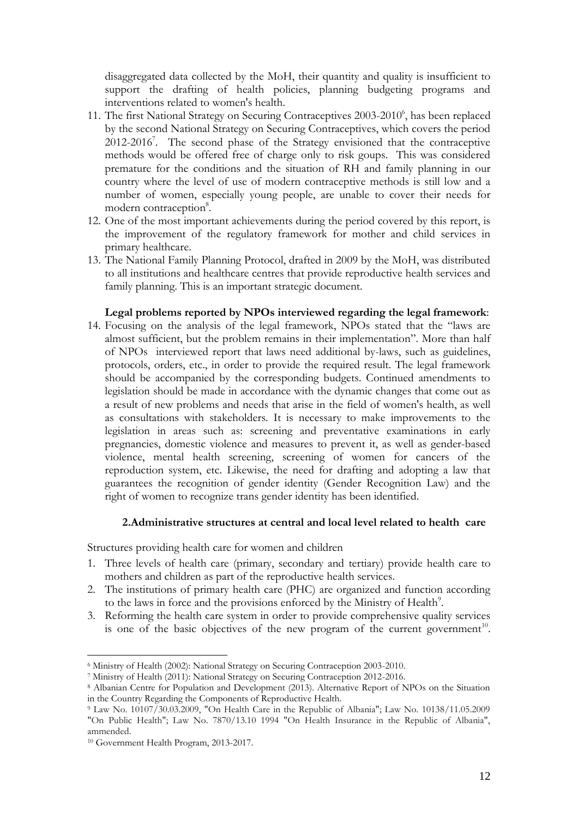disaggregated data collected by the MoH, their quantity and quality is insufficient to support the drafting of health policies, planning budgeting programs and interventions related to women's health.

- 11. The first National Strategy on Securing Contraceptives 2003-2010<sup>6</sup>, has been replaced by the second National Strategy on Securing Contraceptives, which covers the period  $2012-2016$ <sup>7</sup>. The second phase of the Strategy envisioned that the contraceptive methods would be offered free of charge only to risk goups. This was considered premature for the conditions and the situation of RH and family planning in our country where the level of use of modern contraceptive methods is still low and a number of women, especially young people, are unable to cover their needs for modern contraception<sup>8</sup>.
- 12. One of the most important achievements during the period covered by this report, is the improvement of the regulatory framework for mother and child services in primary healthcare.
- 13. The National Family Planning Protocol, drafted in 2009 by the MoH, was distributed to all institutions and healthcare centres that provide reproductive health services and family planning. This is an important strategic document.

#### **Legal problems reported by NPOs interviewed regarding the legal framework**:

14. Focusing on the analysis of the legal framework, NPOs stated that the "laws are almost sufficient, but the problem remains in their implementation". More than half of NPOs interviewed report that laws need additional by-laws, such as guidelines, protocols, orders, etc., in order to provide the required result. The legal framework should be accompanied by the corresponding budgets. Continued amendments to legislation should be made in accordance with the dynamic changes that come out as a result of new problems and needs that arise in the field of women's health, as well as consultations with stakeholders. It is necessary to make improvements to the legislation in areas such as: screening and preventative examinations in early pregnancies, domestic violence and measures to prevent it, as well as gender-based violence, mental health screening, screening of women for cancers of the reproduction system, etc. Likewise, the need for drafting and adopting a law that guarantees the recognition of gender identity (Gender Recognition Law) and the right of women to recognize trans gender identity has been identified.

#### **2.Administrative structures at central and local level related to health care**

Structures providing health care for women and children

- 1. Three levels of health care (primary, secondary and tertiary) provide health care to mothers and children as part of the reproductive health services.
- 2. The institutions of primary health care (PHC) are organized and function according to the laws in force and the provisions enforced by the Ministry of Health<sup>9</sup>.
- 3. Reforming the health care system in order to provide comprehensive quality services is one of the basic objectives of the new program of the current government<sup>10</sup>.

<sup>6</sup> Ministry of Health (2002): National Strategy on Securing Contraception 2003-2010.

<sup>7</sup> Ministry of Health (2011): National Strategy on Securing Contraception 2012-2016.

<sup>8</sup> Albanian Centre for Population and Development (2013). Alternative Report of NPOs on the Situation in the Country Regarding the Components of Reproductive Health.

<sup>9</sup> Law No. 10107/30.03.2009, "On Health Care in the Republic of Albania"; Law No. 10138/11.05.2009 "On Public Health"; Law No. 7870/13.10 1994 "On Health Insurance in the Republic of Albania", ammended.

<sup>10</sup> Government Health Program, 2013-2017.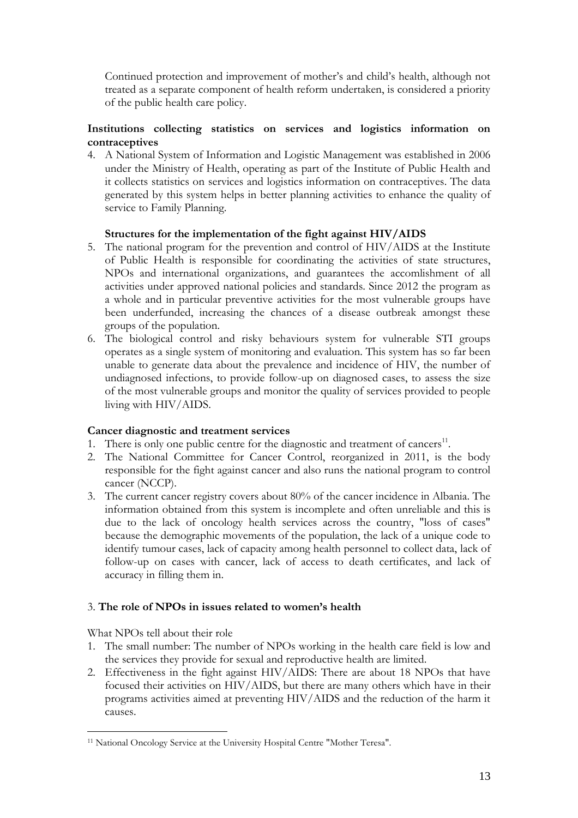Continued protection and improvement of mother's and child's health, although not treated as a separate component of health reform undertaken, is considered a priority of the public health care policy.

# **Institutions collecting statistics on services and logistics information on contraceptives**

4. A National System of Information and Logistic Management was established in 2006 under the Ministry of Health, operating as part of the Institute of Public Health and it collects statistics on services and logistics information on contraceptives. The data generated by this system helps in better planning activities to enhance the quality of service to Family Planning.

## **Structures for the implementation of the fight against HIV/AIDS**

- 5. The national program for the prevention and control of HIV/AIDS at the Institute of Public Health is responsible for coordinating the activities of state structures, NPOs and international organizations, and guarantees the accomlishment of all activities under approved national policies and standards. Since 2012 the program as a whole and in particular preventive activities for the most vulnerable groups have been underfunded, increasing the chances of a disease outbreak amongst these groups of the population.
- 6. The biological control and risky behaviours system for vulnerable STI groups operates as a single system of monitoring and evaluation. This system has so far been unable to generate data about the prevalence and incidence of HIV, the number of undiagnosed infections, to provide follow-up on diagnosed cases, to assess the size of the most vulnerable groups and monitor the quality of services provided to people living with HIV/AIDS.

### **Cancer diagnostic and treatment services**

- 1. There is only one public centre for the diagnostic and treatment of cancers $11$ .
- 2. The National Committee for Cancer Control, reorganized in 2011, is the body responsible for the fight against cancer and also runs the national program to control cancer (NCCP).
- 3. The current cancer registry covers about 80% of the cancer incidence in Albania. The information obtained from this system is incomplete and often unreliable and this is due to the lack of oncology health services across the country, "loss of cases" because the demographic movements of the population, the lack of a unique code to identify tumour cases, lack of capacity among health personnel to collect data, lack of follow-up on cases with cancer, lack of access to death certificates, and lack of accuracy in filling them in.

# 3. **The role of NPOs in issues related to women's health**

What NPOs tell about their role

- 1. The small number: The number of NPOs working in the health care field is low and the services they provide for sexual and reproductive health are limited.
- 2. Effectiveness in the fight against HIV/AIDS: There are about 18 NPOs that have focused their activities on HIV/AIDS, but there are many others which have in their programs activities aimed at preventing HIV/AIDS and the reduction of the harm it causes.

 $\overline{a}$ <sup>11</sup> National Oncology Service at the University Hospital Centre "Mother Teresa".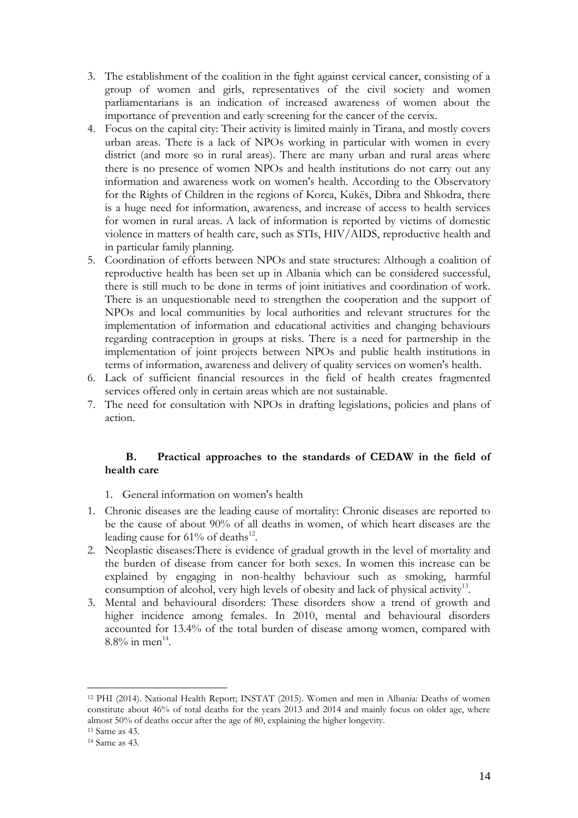- 3. The establishment of the coalition in the fight against cervical cancer, consisting of a group of women and girls, representatives of the civil society and women parliamentarians is an indication of increased awareness of women about the importance of prevention and early screening for the cancer of the cervix.
- 4. Focus on the capital city: Their activity is limited mainly in Tirana, and mostly covers urban areas. There is a lack of NPOs working in particular with women in every district (and more so in rural areas). There are many urban and rural areas where there is no presence of women NPOs and health institutions do not carry out any information and awareness work on women's health. According to the Observatory for the Rights of Children in the regions of Korca, Kukës, Dibra and Shkodra, there is a huge need for information, awareness, and increase of access to health services for women in rural areas. A lack of information is reported by victims of domestic violence in matters of health care, such as STIs, HIV/AIDS, reproductive health and in particular family planning.
- 5. Coordination of efforts between NPOs and state structures: Although a coalition of reproductive health has been set up in Albania which can be considered successful, there is still much to be done in terms of joint initiatives and coordination of work. There is an unquestionable need to strengthen the cooperation and the support of NPOs and local communities by local authorities and relevant structures for the implementation of information and educational activities and changing behaviours regarding contraception in groups at risks. There is a need for partnership in the implementation of joint projects between NPOs and public health institutions in terms of information, awareness and delivery of quality services on women's health.
- 6. Lack of sufficient financial resources in the field of health creates fragmented services offered only in certain areas which are not sustainable.
- 7. The need for consultation with NPOs in drafting legislations, policies and plans of action.

### **B. Practical approaches to the standards of CEDAW in the field of health care**

- 1. General information on women's health
- 1. Chronic diseases are the leading cause of mortality: Chronic diseases are reported to be the cause of about 90% of all deaths in women, of which heart diseases are the leading cause for  $61\%$  of deaths<sup>12</sup>.
- 2. Neoplastic diseases:There is evidence of gradual growth in the level of mortality and the burden of disease from cancer for both sexes. In women this increase can be explained by engaging in non-healthy behaviour such as smoking, harmful consumption of alcohol, very high levels of obesity and lack of physical activity<sup>13</sup>.
- 3. Mental and behavioural disorders: These disorders show a trend of growth and higher incidence among females. In 2010, mental and behavioural disorders accounted for 13.4% of the total burden of disease among women, compared with  $8.8\%$  in men<sup>14</sup>.

<sup>12</sup> PHI (2014). National Health Report; INSTAT (2015). Women and men in Albania: Deaths of women constitute about 46% of total deaths for the years 2013 and 2014 and mainly focus on older age, where almost 50% of deaths occur after the age of 80, explaining the higher longevity.

<sup>13</sup> Same as 43.

<sup>14</sup> Same as 43.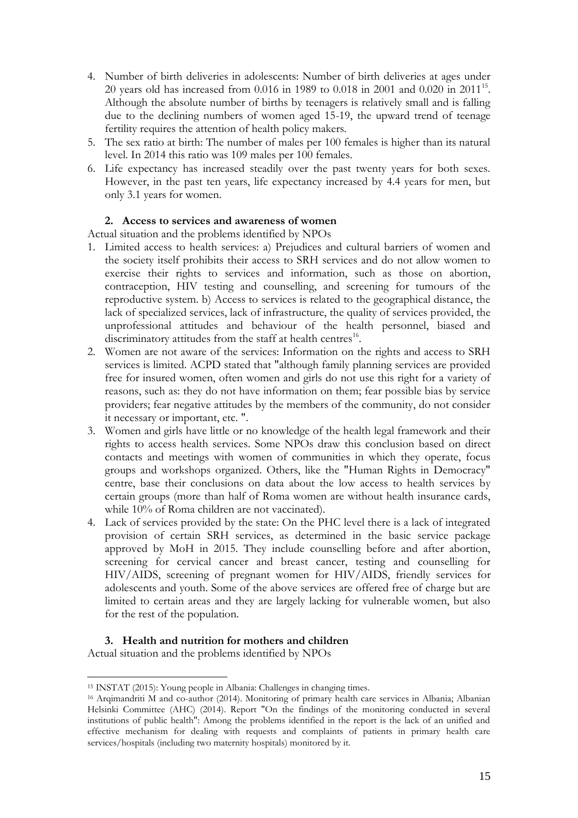- 4. Number of birth deliveries in adolescents: Number of birth deliveries at ages under 20 years old has increased from  $0.016$  in 1989 to  $0.018$  in 2001 and  $0.020$  in 2011<sup>15</sup>. Although the absolute number of births by teenagers is relatively small and is falling due to the declining numbers of women aged 15-19, the upward trend of teenage fertility requires the attention of health policy makers.
- 5. The sex ratio at birth: The number of males per 100 females is higher than its natural level. In 2014 this ratio was 109 males per 100 females.
- 6. Life expectancy has increased steadily over the past twenty years for both sexes. However, in the past ten years, life expectancy increased by 4.4 years for men, but only 3.1 years for women.

## **2. Access to services and awareness of women**

Actual situation and the problems identified by NPOs

- 1. Limited access to health services: a) Prejudices and cultural barriers of women and the society itself prohibits their access to SRH services and do not allow women to exercise their rights to services and information, such as those on abortion, contraception, HIV testing and counselling, and screening for tumours of the reproductive system. b) Access to services is related to the geographical distance, the lack of specialized services, lack of infrastructure, the quality of services provided, the unprofessional attitudes and behaviour of the health personnel, biased and discriminatory attitudes from the staff at health centres<sup>16</sup>.
- 2. Women are not aware of the services: Information on the rights and access to SRH services is limited. ACPD stated that "although family planning services are provided free for insured women, often women and girls do not use this right for a variety of reasons, such as: they do not have information on them; fear possible bias by service providers; fear negative attitudes by the members of the community, do not consider it necessary or important, etc. ".
- 3. Women and girls have little or no knowledge of the health legal framework and their rights to access health services. Some NPOs draw this conclusion based on direct contacts and meetings with women of communities in which they operate, focus groups and workshops organized. Others, like the "Human Rights in Democracy" centre, base their conclusions on data about the low access to health services by certain groups (more than half of Roma women are without health insurance cards, while 10% of Roma children are not vaccinated).
- 4. Lack of services provided by the state: On the PHC level there is a lack of integrated provision of certain SRH services, as determined in the basic service package approved by MoH in 2015. They include counselling before and after abortion, screening for cervical cancer and breast cancer, testing and counselling for HIV/AIDS, screening of pregnant women for HIV/AIDS, friendly services for adolescents and youth. Some of the above services are offered free of charge but are limited to certain areas and they are largely lacking for vulnerable women, but also for the rest of the population.

### **3. Health and nutrition for mothers and children**

Actual situation and the problems identified by NPOs

<sup>15</sup> INSTAT (2015): Young people in Albania: Challenges in changing times.

<sup>&</sup>lt;sup>16</sup> Arqimandriti M and co-author (2014). Monitoring of primary health care services in Albania; Albanian Helsinki Committee (AHC) (2014). Report "On the findings of the monitoring conducted in several institutions of public health": Among the problems identified in the report is the lack of an unified and effective mechanism for dealing with requests and complaints of patients in primary health care services/hospitals (including two maternity hospitals) monitored by it.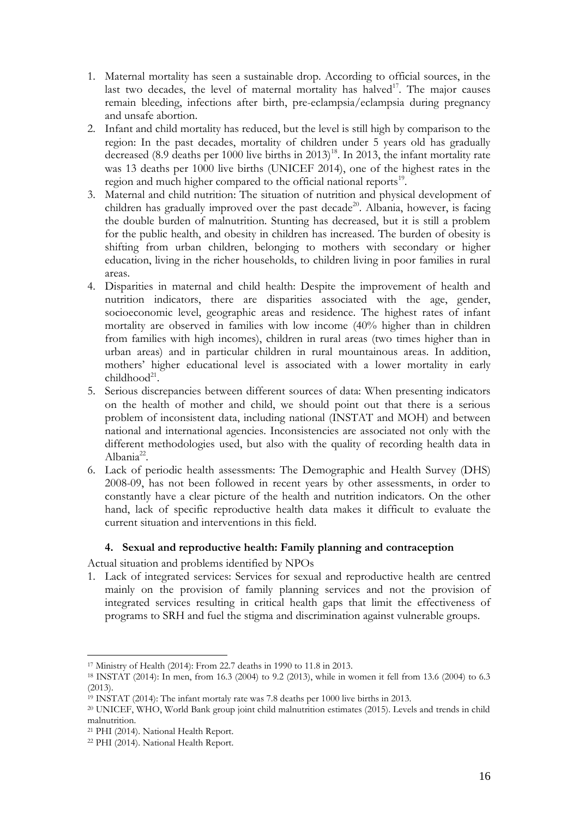- 1. Maternal mortality has seen a sustainable drop. According to official sources, in the last two decades, the level of maternal mortality has halved<sup>17</sup>. The major causes remain bleeding, infections after birth, pre-eclampsia/eclampsia during pregnancy and unsafe abortion.
- 2. Infant and child mortality has reduced, but the level is still high by comparison to the region: In the past decades, mortality of children under 5 years old has gradually decreased  $(8.9$  deaths per 1000 live births in 2013<sup>18</sup>. In 2013, the infant mortality rate was 13 deaths per 1000 live births (UNICEF 2014), one of the highest rates in the region and much higher compared to the official national reports<sup>19</sup>.
- 3. Maternal and child nutrition: The situation of nutrition and physical development of children has gradually improved over the past decade<sup>20</sup>. Albania, however, is facing the double burden of malnutrition. Stunting has decreased, but it is still a problem for the public health, and obesity in children has increased. The burden of obesity is shifting from urban children, belonging to mothers with secondary or higher education, living in the richer households, to children living in poor families in rural areas.
- 4. Disparities in maternal and child health: Despite the improvement of health and nutrition indicators, there are disparities associated with the age, gender, socioeconomic level, geographic areas and residence. The highest rates of infant mortality are observed in families with low income (40% higher than in children from families with high incomes), children in rural areas (two times higher than in urban areas) and in particular children in rural mountainous areas. In addition, mothers' higher educational level is associated with a lower mortality in early childhood<sup>21</sup>.
- 5. Serious discrepancies between different sources of data: When presenting indicators on the health of mother and child, we should point out that there is a serious problem of inconsistent data, including national (INSTAT and MOH) and between national and international agencies. Inconsistencies are associated not only with the different methodologies used, but also with the quality of recording health data in Albania<sup>22</sup>.
- 6. Lack of periodic health assessments: The Demographic and Health Survey (DHS) 2008-09, has not been followed in recent years by other assessments, in order to constantly have a clear picture of the health and nutrition indicators. On the other hand, lack of specific reproductive health data makes it difficult to evaluate the current situation and interventions in this field.

### **4. Sexual and reproductive health: Family planning and contraception**

Actual situation and problems identified by NPOs

1. Lack of integrated services: Services for sexual and reproductive health are centred mainly on the provision of family planning services and not the provision of integrated services resulting in critical health gaps that limit the effectiveness of programs to SRH and fuel the stigma and discrimination against vulnerable groups.

<sup>17</sup> Ministry of Health (2014): From 22.7 deaths in 1990 to 11.8 in 2013.

<sup>18</sup> INSTAT (2014): In men, from 16.3 (2004) to 9.2 (2013), while in women it fell from 13.6 (2004) to 6.3  $(2013)$ 

 $19$  INSTAT (2014): The infant mortaly rate was 7.8 deaths per 1000 live births in 2013.

<sup>20</sup> UNICEF, WHO, World Bank group joint child malnutrition estimates (2015). Levels and trends in child malnutrition.

<sup>21</sup> PHI (2014). National Health Report.

<sup>22</sup> PHI (2014). National Health Report.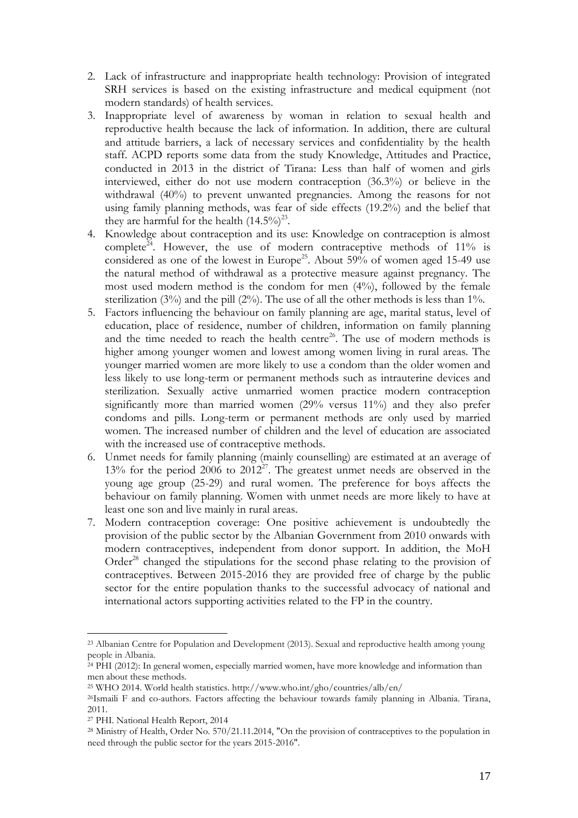- 2. Lack of infrastructure and inappropriate health technology: Provision of integrated SRH services is based on the existing infrastructure and medical equipment (not modern standards) of health services.
- 3. Inappropriate level of awareness by woman in relation to sexual health and reproductive health because the lack of information. In addition, there are cultural and attitude barriers, a lack of necessary services and confidentiality by the health staff. ACPD reports some data from the study Knowledge, Attitudes and Practice, conducted in 2013 in the district of Tirana: Less than half of women and girls interviewed, either do not use modern contraception (36.3%) or believe in the withdrawal (40%) to prevent unwanted pregnancies. Among the reasons for not using family planning methods, was fear of side effects (19.2%) and the belief that they are harmful for the health  $(14.5\%)^{23}$ .
- 4. Knowledge about contraception and its use: Knowledge on contraception is almost complete<sup> $\tilde{e}^{4}$ </sup>. However, the use of modern contraceptive methods of 11% is considered as one of the lowest in Europe<sup>25</sup>. About 59% of women aged 15-49 use the natural method of withdrawal as a protective measure against pregnancy. The most used modern method is the condom for men (4%), followed by the female sterilization (3%) and the pill (2%). The use of all the other methods is less than 1%.
- 5. Factors influencing the behaviour on family planning are age, marital status, level of education, place of residence, number of children, information on family planning and the time needed to reach the health centre<sup>26</sup>. The use of modern methods is higher among younger women and lowest among women living in rural areas. The younger married women are more likely to use a condom than the older women and less likely to use long-term or permanent methods such as intrauterine devices and sterilization. Sexually active unmarried women practice modern contraception significantly more than married women (29% versus 11%) and they also prefer condoms and pills. Long-term or permanent methods are only used by married women. The increased number of children and the level of education are associated with the increased use of contraceptive methods.
- 6. Unmet needs for family planning (mainly counselling) are estimated at an average of 13% for the period 2006 to 2012<sup>27</sup>. The greatest unmet needs are observed in the young age group (25-29) and rural women. The preference for boys affects the behaviour on family planning. Women with unmet needs are more likely to have at least one son and live mainly in rural areas.
- 7. Modern contraception coverage: One positive achievement is undoubtedly the provision of the public sector by the Albanian Government from 2010 onwards with modern contraceptives, independent from donor support. In addition, the MoH Order<sup>28</sup> changed the stipulations for the second phase relating to the provision of contraceptives. Between 2015-2016 they are provided free of charge by the public sector for the entire population thanks to the successful advocacy of national and international actors supporting activities related to the FP in the country.

<sup>23</sup> Albanian Centre for Population and Development (2013). Sexual and reproductive health among young people in Albania.

 $^{24}$  PHI (2012): In general women, especially married women, have more knowledge and information than men about these methods.

<sup>25</sup> WHO 2014. World health statistics. http://www.who.int/gho/countries/alb/en/

<sup>26</sup>Ismaili F and co-authors. Factors affecting the behaviour towards family planning in Albania. Tirana, 2011.

<sup>27</sup> PHI. National Health Report, 2014

<sup>&</sup>lt;sup>28</sup> Ministry of Health, Order No. 570/21.11.2014, "On the provision of contraceptives to the population in need through the public sector for the years 2015-2016".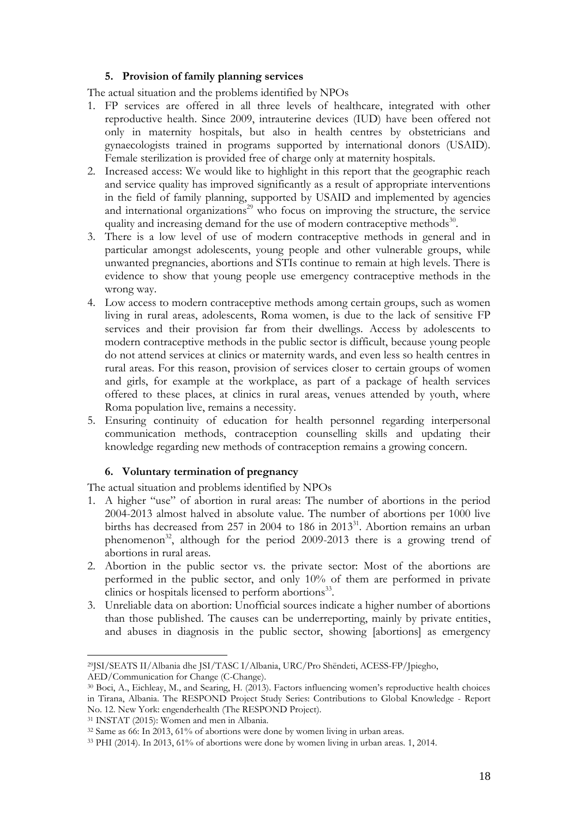### **5. Provision of family planning services**

The actual situation and the problems identified by NPOs

- 1. FP services are offered in all three levels of healthcare, integrated with other reproductive health. Since 2009, intrauterine devices (IUD) have been offered not only in maternity hospitals, but also in health centres by obstetricians and gynaecologists trained in programs supported by international donors (USAID). Female sterilization is provided free of charge only at maternity hospitals.
- 2. Increased access: We would like to highlight in this report that the geographic reach and service quality has improved significantly as a result of appropriate interventions in the field of family planning, supported by USAID and implemented by agencies and international organizations<sup>29</sup> who focus on improving the structure, the service quality and increasing demand for the use of modern contraceptive methods $^{30}$ .
- 3. There is a low level of use of modern contraceptive methods in general and in particular amongst adolescents, young people and other vulnerable groups, while unwanted pregnancies, abortions and STIs continue to remain at high levels. There is evidence to show that young people use emergency contraceptive methods in the wrong way.
- 4. Low access to modern contraceptive methods among certain groups, such as women living in rural areas, adolescents, Roma women, is due to the lack of sensitive FP services and their provision far from their dwellings. Access by adolescents to modern contraceptive methods in the public sector is difficult, because young people do not attend services at clinics or maternity wards, and even less so health centres in rural areas. For this reason, provision of services closer to certain groups of women and girls, for example at the workplace, as part of a package of health services offered to these places, at clinics in rural areas, venues attended by youth, where Roma population live, remains a necessity.
- 5. Ensuring continuity of education for health personnel regarding interpersonal communication methods, contraception counselling skills and updating their knowledge regarding new methods of contraception remains a growing concern.

### **6. Voluntary termination of pregnancy**

The actual situation and problems identified by NPOs

- 1. A higher "use" of abortion in rural areas: The number of abortions in the period 2004-2013 almost halved in absolute value. The number of abortions per 1000 live births has decreased from 257 in 2004 to 186 in 2013<sup>31</sup>. Abortion remains an urban phenomenon<sup>32</sup>, although for the period 2009-2013 there is a growing trend of abortions in rural areas.
- 2. Abortion in the public sector vs. the private sector: Most of the abortions are performed in the public sector, and only 10% of them are performed in private clinics or hospitals licensed to perform abortions<sup>33</sup>.
- 3. Unreliable data on abortion: Unofficial sources indicate a higher number of abortions than those published. The causes can be underreporting, mainly by private entities, and abuses in diagnosis in the public sector, showing [abortions] as emergency

 $\overline{a}$ <sup>29</sup>JSI/SEATS II/Albania dhe JSI/TASC I/Albania, URC/Pro Shëndeti, ACESS-FP/Jpiegho, AED/Communication for Change (C-Change).

<sup>30</sup> Boci, A., Eichleay, M., and Searing, H. (2013). Factors influencing women's reproductive health choices in Tirana, Albania. The RESPOND Project Study Series: Contributions to Global Knowledge - Report No. 12. New York: engenderhealth (The RESPOND Project).

<sup>31</sup> INSTAT (2015): Women and men in Albania.

<sup>32</sup> Same as 66: In 2013, 61% of abortions were done by women living in urban areas.

<sup>33</sup> PHI (2014). In 2013, 61% of abortions were done by women living in urban areas. 1, 2014.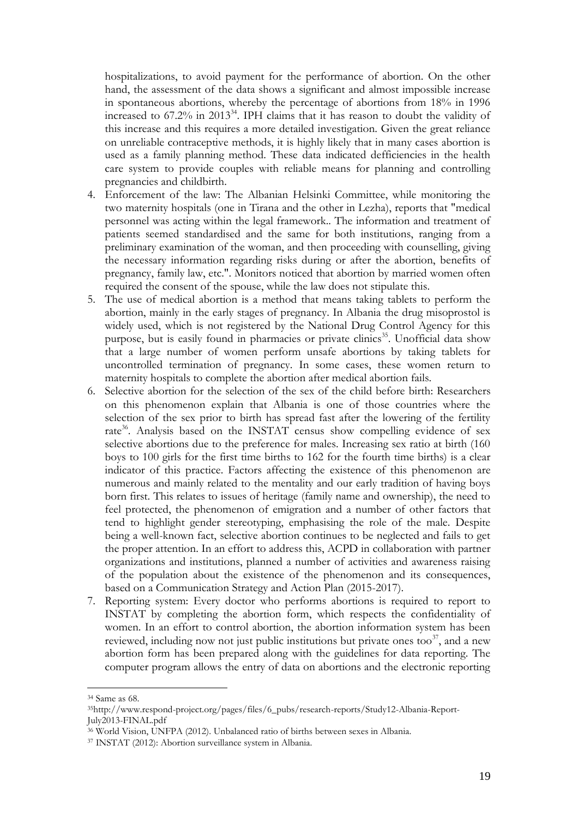hospitalizations, to avoid payment for the performance of abortion. On the other hand, the assessment of the data shows a significant and almost impossible increase in spontaneous abortions, whereby the percentage of abortions from 18% in 1996 increased to 67.2% in 2013<sup>34</sup>. IPH claims that it has reason to doubt the validity of this increase and this requires a more detailed investigation. Given the great reliance on unreliable contraceptive methods, it is highly likely that in many cases abortion is used as a family planning method. These data indicated defficiencies in the health care system to provide couples with reliable means for planning and controlling pregnancies and childbirth.

- 4. Enforcement of the law: The Albanian Helsinki Committee, while monitoring the two maternity hospitals (one in Tirana and the other in Lezha), reports that "medical personnel was acting within the legal framework.. The information and treatment of patients seemed standardised and the same for both institutions, ranging from a preliminary examination of the woman, and then proceeding with counselling, giving the necessary information regarding risks during or after the abortion, benefits of pregnancy, family law, etc.". Monitors noticed that abortion by married women often required the consent of the spouse, while the law does not stipulate this.
- 5. The use of medical abortion is a method that means taking tablets to perform the abortion, mainly in the early stages of pregnancy. In Albania the drug misoprostol is widely used, which is not registered by the National Drug Control Agency for this purpose, but is easily found in pharmacies or private clinics<sup>35</sup>. Unofficial data show that a large number of women perform unsafe abortions by taking tablets for uncontrolled termination of pregnancy. In some cases, these women return to maternity hospitals to complete the abortion after medical abortion fails.
- 6. Selective abortion for the selection of the sex of the child before birth: Researchers on this phenomenon explain that Albania is one of those countries where the selection of the sex prior to birth has spread fast after the lowering of the fertility rate<sup>36</sup>. Analysis based on the INSTAT census show compelling evidence of sex selective abortions due to the preference for males. Increasing sex ratio at birth (160 boys to 100 girls for the first time births to 162 for the fourth time births) is a clear indicator of this practice. Factors affecting the existence of this phenomenon are numerous and mainly related to the mentality and our early tradition of having boys born first. This relates to issues of heritage (family name and ownership), the need to feel protected, the phenomenon of emigration and a number of other factors that tend to highlight gender stereotyping, emphasising the role of the male. Despite being a well-known fact, selective abortion continues to be neglected and fails to get the proper attention. In an effort to address this, ACPD in collaboration with partner organizations and institutions, planned a number of activities and awareness raising of the population about the existence of the phenomenon and its consequences, based on a Communication Strategy and Action Plan (2015-2017).
- 7. Reporting system: Every doctor who performs abortions is required to report to INSTAT by completing the abortion form, which respects the confidentiality of women. In an effort to control abortion, the abortion information system has been reviewed, including now not just public institutions but private ones too<sup>37</sup>, and a new abortion form has been prepared along with the guidelines for data reporting. The computer program allows the entry of data on abortions and the electronic reporting

<sup>34</sup> Same as 68.

<sup>35</sup>[http://www.respond-project.org/pages/files/6\\_pubs/research-reports/Study12-Albania-Report-](http://www.respond-project.org/pages/files/6_pubs/research-reports/Study12-Albania-Report-July2013-FINAL.pdf)[July2013-FINAL.pdf](http://www.respond-project.org/pages/files/6_pubs/research-reports/Study12-Albania-Report-July2013-FINAL.pdf)

<sup>36</sup> World Vision, UNFPA (2012). Unbalanced ratio of births between sexes in Albania.

<sup>37</sup> INSTAT (2012): Abortion surveillance system in Albania.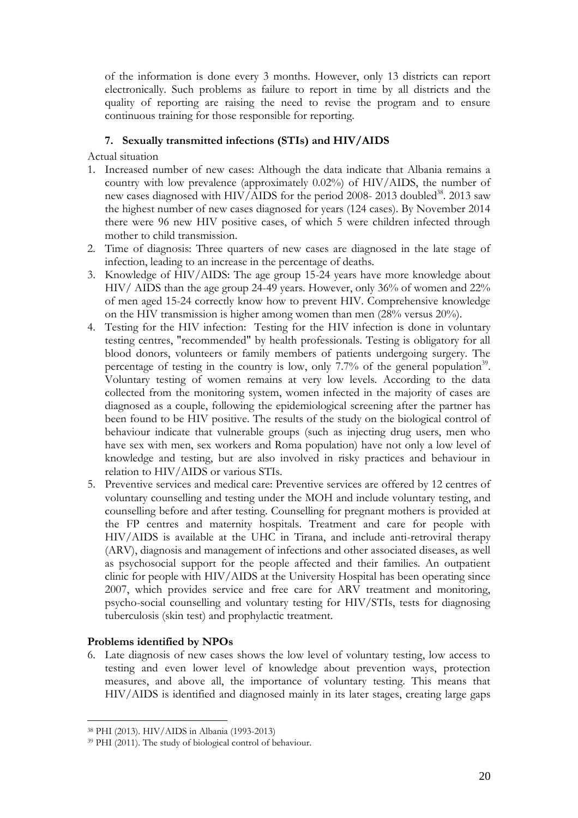of the information is done every 3 months. However, only 13 districts can report electronically. Such problems as failure to report in time by all districts and the quality of reporting are raising the need to revise the program and to ensure continuous training for those responsible for reporting.

# **7. Sexually transmitted infections (STIs) and HIV/AIDS**

Actual situation

- 1. Increased number of new cases: Although the data indicate that Albania remains a country with low prevalence (approximately 0.02%) of HIV/AIDS, the number of new cases diagnosed with HIV/AIDS for the period 2008- 2013 doubled<sup>38</sup>. 2013 saw the highest number of new cases diagnosed for years (124 cases). By November 2014 there were 96 new HIV positive cases, of which 5 were children infected through mother to child transmission.
- 2. Time of diagnosis: Three quarters of new cases are diagnosed in the late stage of infection, leading to an increase in the percentage of deaths.
- 3. Knowledge of HIV/AIDS: The age group 15-24 years have more knowledge about HIV/ AIDS than the age group 24-49 years. However, only 36% of women and 22% of men aged 15-24 correctly know how to prevent HIV. Comprehensive knowledge on the HIV transmission is higher among women than men (28% versus 20%).
- 4. Testing for the HIV infection: Testing for the HIV infection is done in voluntary testing centres, "recommended" by health professionals. Testing is obligatory for all blood donors, volunteers or family members of patients undergoing surgery. The percentage of testing in the country is low, only  $7.7\%$  of the general population<sup>39</sup>. Voluntary testing of women remains at very low levels. According to the data collected from the monitoring system, women infected in the majority of cases are diagnosed as a couple, following the epidemiological screening after the partner has been found to be HIV positive. The results of the study on the biological control of behaviour indicate that vulnerable groups (such as injecting drug users, men who have sex with men, sex workers and Roma population) have not only a low level of knowledge and testing, but are also involved in risky practices and behaviour in relation to HIV/AIDS or various STIs.
- 5. Preventive services and medical care: Preventive services are offered by 12 centres of voluntary counselling and testing under the MOH and include voluntary testing, and counselling before and after testing. Counselling for pregnant mothers is provided at the FP centres and maternity hospitals. Treatment and care for people with HIV/AIDS is available at the UHC in Tirana, and include anti-retroviral therapy (ARV), diagnosis and management of infections and other associated diseases, as well as psychosocial support for the people affected and their families. An outpatient clinic for people with HIV/AIDS at the University Hospital has been operating since 2007, which provides service and free care for ARV treatment and monitoring, psycho-social counselling and voluntary testing for HIV/STIs, tests for diagnosing tuberculosis (skin test) and prophylactic treatment.

### **Problems identified by NPOs**

 $\overline{a}$ 

6. Late diagnosis of new cases shows the low level of voluntary testing, low access to testing and even lower level of knowledge about prevention ways, protection measures, and above all, the importance of voluntary testing. This means that HIV/AIDS is identified and diagnosed mainly in its later stages, creating large gaps

<sup>38</sup> PHI (2013). HIV/AIDS in Albania (1993-2013)

<sup>39</sup> PHI (2011). The study of biological control of behaviour.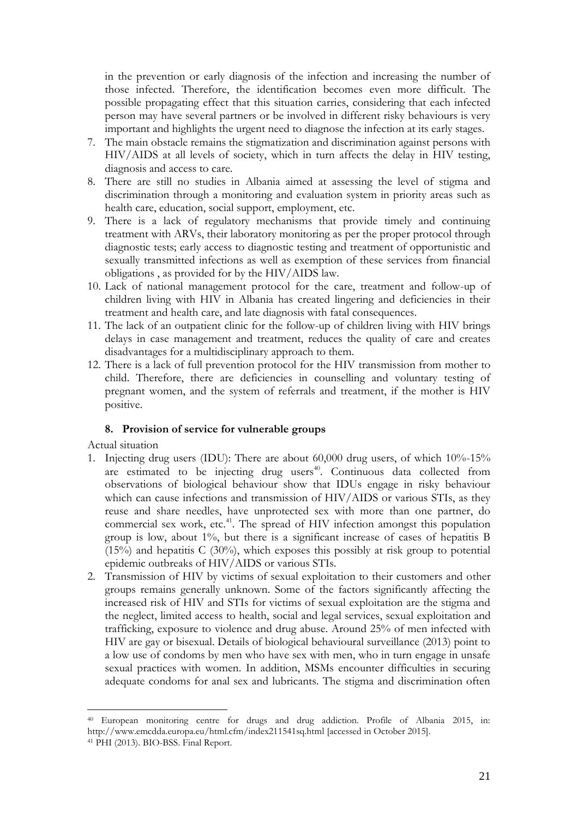in the prevention or early diagnosis of the infection and increasing the number of those infected. Therefore, the identification becomes even more difficult. The possible propagating effect that this situation carries, considering that each infected person may have several partners or be involved in different risky behaviours is very important and highlights the urgent need to diagnose the infection at its early stages.

- 7. The main obstacle remains the stigmatization and discrimination against persons with HIV/AIDS at all levels of society, which in turn affects the delay in HIV testing, diagnosis and access to care.
- 8. There are still no studies in Albania aimed at assessing the level of stigma and discrimination through a monitoring and evaluation system in priority areas such as health care, education, social support, employment, etc.
- 9. There is a lack of regulatory mechanisms that provide timely and continuing treatment with ARVs, their laboratory monitoring as per the proper protocol through diagnostic tests; early access to diagnostic testing and treatment of opportunistic and sexually transmitted infections as well as exemption of these services from financial obligations , as provided for by the HIV/AIDS law.
- 10. Lack of national management protocol for the care, treatment and follow-up of children living with HIV in Albania has created lingering and deficiencies in their treatment and health care, and late diagnosis with fatal consequences.
- 11. The lack of an outpatient clinic for the follow-up of children living with HIV brings delays in case management and treatment, reduces the quality of care and creates disadvantages for a multidisciplinary approach to them.
- 12. There is a lack of full prevention protocol for the HIV transmission from mother to child. Therefore, there are deficiencies in counselling and voluntary testing of pregnant women, and the system of referrals and treatment, if the mother is HIV positive.

### **8. Provision of service for vulnerable groups**

Actual situation

- 1. Injecting drug users (IDU): There are about 60,000 drug users, of which 10%-15% are estimated to be injecting drug users<sup>40</sup>. Continuous data collected from observations of biological behaviour show that IDUs engage in risky behaviour which can cause infections and transmission of HIV/AIDS or various STIs, as they reuse and share needles, have unprotected sex with more than one partner, do commercial sex work, etc.<sup>41</sup>. The spread of HIV infection amongst this population group is low, about 1%, but there is a significant increase of cases of hepatitis B  $(15%)$  and hepatitis C  $(30%)$ , which exposes this possibly at risk group to potential epidemic outbreaks of HIV/AIDS or various STIs.
- 2. Transmission of HIV by victims of sexual exploitation to their customers and other groups remains generally unknown. Some of the factors significantly affecting the increased risk of HIV and STIs for victims of sexual exploitation are the stigma and the neglect, limited access to health, social and legal services, sexual exploitation and trafficking, exposure to violence and drug abuse. Around 25% of men infected with HIV are gay or bisexual. Details of biological behavioural surveillance (2013) point to a low use of condoms by men who have sex with men, who in turn engage in unsafe sexual practices with women. In addition, MSMs encounter difficulties in securing adequate condoms for anal sex and lubricants. The stigma and discrimination often

<sup>40</sup> European monitoring centre for drugs and drug addiction. Profile of Albania 2015, in: [http://www.emcdda.europa.eu/html.cfm/index211541sq.html](http://www.emcdda.europa.eu/html.cfm/index211541SQ.html) [accessed in October 2015]. <sup>41</sup> PHI (2013). BIO-BSS. Final Report.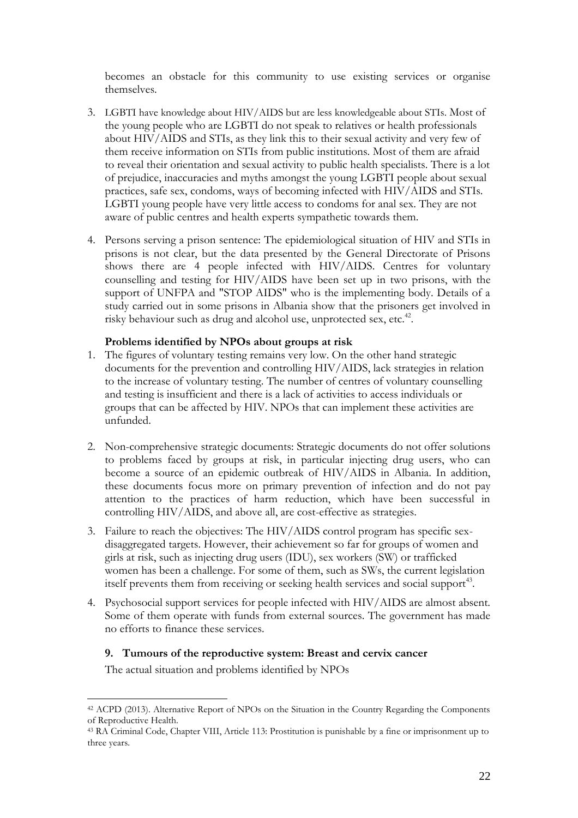becomes an obstacle for this community to use existing services or organise themselves.

- 3. LGBTI have knowledge about HIV/AIDS but are less knowledgeable about STIs. Most of the young people who are LGBTI do not speak to relatives or health professionals about HIV/AIDS and STIs, as they link this to their sexual activity and very few of them receive information on STIs from public institutions. Most of them are afraid to reveal their orientation and sexual activity to public health specialists. There is a lot of prejudice, inaccuracies and myths amongst the young LGBTI people about sexual practices, safe sex, condoms, ways of becoming infected with HIV/AIDS and STIs. LGBTI young people have very little access to condoms for anal sex. They are not aware of public centres and health experts sympathetic towards them.
- 4. Persons serving a prison sentence: The epidemiological situation of HIV and STIs in prisons is not clear, but the data presented by the General Directorate of Prisons shows there are 4 people infected with HIV/AIDS. Centres for voluntary counselling and testing for HIV/AIDS have been set up in two prisons, with the support of UNFPA and "STOP AIDS" who is the implementing body. Details of a study carried out in some prisons in Albania show that the prisoners get involved in risky behaviour such as drug and alcohol use, unprotected sex, etc.<sup>42</sup>.

### **Problems identified by NPOs about groups at risk**

- 1. The figures of voluntary testing remains very low. On the other hand strategic documents for the prevention and controlling HIV/AIDS, lack strategies in relation to the increase of voluntary testing. The number of centres of voluntary counselling and testing is insufficient and there is a lack of activities to access individuals or groups that can be affected by HIV. NPOs that can implement these activities are unfunded.
- 2. Non-comprehensive strategic documents: Strategic documents do not offer solutions to problems faced by groups at risk, in particular injecting drug users, who can become a source of an epidemic outbreak of HIV/AIDS in Albania. In addition, these documents focus more on primary prevention of infection and do not pay attention to the practices of harm reduction, which have been successful in controlling HIV/AIDS, and above all, are cost-effective as strategies.
- 3. Failure to reach the objectives: The HIV/AIDS control program has specific sexdisaggregated targets. However, their achievement so far for groups of women and girls at risk, such as injecting drug users (IDU), sex workers (SW) or trafficked women has been a challenge. For some of them, such as SWs, the current legislation itself prevents them from receiving or seeking health services and social support $43$ .
- 4. Psychosocial support services for people infected with HIV/AIDS are almost absent. Some of them operate with funds from external sources. The government has made no efforts to finance these services.

### **9. Tumours of the reproductive system: Breast and cervix cancer**

The actual situation and problems identified by NPOs

<sup>42</sup> ACPD (2013). Alternative Report of NPOs on the Situation in the Country Regarding the Components of Reproductive Health.

<sup>43</sup> RA Criminal Code, Chapter VIII, Article 113: Prostitution is punishable by a fine or imprisonment up to three years.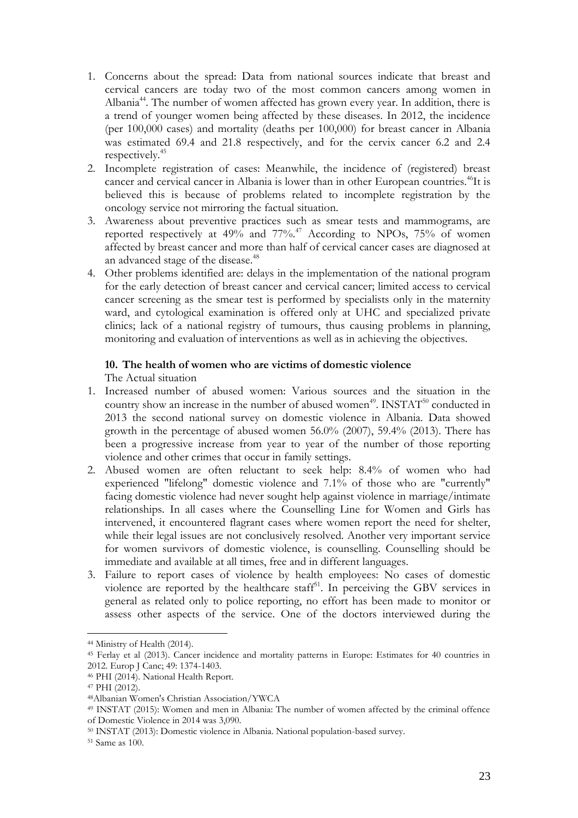- 1. Concerns about the spread: Data from national sources indicate that breast and cervical cancers are today two of the most common cancers among women in Albania<sup>44</sup>. The number of women affected has grown every year. In addition, there is a trend of younger women being affected by these diseases. In 2012, the incidence (per 100,000 cases) and mortality (deaths per 100,000) for breast cancer in Albania was estimated 69.4 and 21.8 respectively, and for the cervix cancer 6.2 and 2.4 respectively.<sup>45</sup>
- 2. Incomplete registration of cases: Meanwhile, the incidence of (registered) breast cancer and cervical cancer in Albania is lower than in other European countries.<sup>46</sup>It is believed this is because of problems related to incomplete registration by the oncology service not mirroring the factual situation.
- 3. Awareness about preventive practices such as smear tests and mammograms, are reported respectively at 49% and 77%.<sup>47</sup> According to NPOs, 75% of women affected by breast cancer and more than half of cervical cancer cases are diagnosed at an advanced stage of the disease.<sup>48</sup>
- 4. Other problems identified are: delays in the implementation of the national program for the early detection of breast cancer and cervical cancer; limited access to cervical cancer screening as the smear test is performed by specialists only in the maternity ward, and cytological examination is offered only at UHC and specialized private clinics; lack of a national registry of tumours, thus causing problems in planning, monitoring and evaluation of interventions as well as in achieving the objectives.

### **10. The health of women who are victims of domestic violence**

The Actual situation

- 1. Increased number of abused women: Various sources and the situation in the country show an increase in the number of abused women<sup>49</sup>. INSTAT<sup>50</sup> conducted in 2013 the second national survey on domestic violence in Albania. Data showed growth in the percentage of abused women 56.0% (2007), 59.4% (2013). There has been a progressive increase from year to year of the number of those reporting violence and other crimes that occur in family settings.
- 2. Abused women are often reluctant to seek help: 8.4% of women who had experienced "lifelong" domestic violence and 7.1% of those who are "currently" facing domestic violence had never sought help against violence in marriage/intimate relationships. In all cases where the Counselling Line for Women and Girls has intervened, it encountered flagrant cases where women report the need for shelter, while their legal issues are not conclusively resolved. Another very important service for women survivors of domestic violence, is counselling. Counselling should be immediate and available at all times, free and in different languages.
- 3. Failure to report cases of violence by health employees: No cases of domestic violence are reported by the healthcare staff<sup>51</sup>. In perceiving the GBV services in general as related only to police reporting, no effort has been made to monitor or assess other aspects of the service. One of the doctors interviewed during the

<sup>44</sup> Ministry of Health (2014).

<sup>45</sup> Ferlay et al (2013). Cancer incidence and mortality patterns in Europe: Estimates for 40 countries in 2012. Europ J Canc; 49: 1374-1403.

<sup>46</sup> PHI (2014). National Health Report.

<sup>47</sup> PHI (2012).

<sup>48</sup>Albanian Women's Christian Association/YWCA

<sup>49</sup> INSTAT (2015): Women and men in Albania: The number of women affected by the criminal offence of Domestic Violence in 2014 was 3,090.

<sup>50</sup> INSTAT (2013): Domestic violence in Albania. National population-based survey.

<sup>51</sup> Same as 100.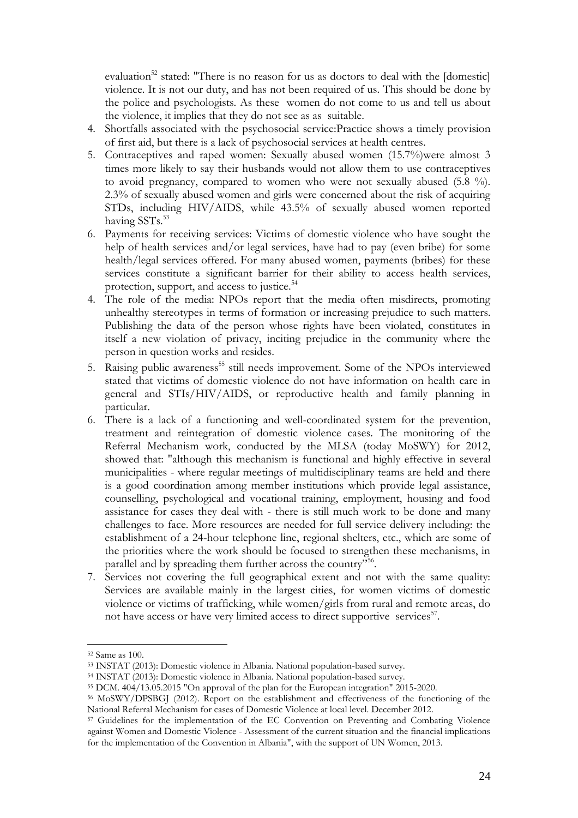evaluation<sup>52</sup> stated: "There is no reason for us as doctors to deal with the [domestic] violence. It is not our duty, and has not been required of us. This should be done by the police and psychologists. As these women do not come to us and tell us about the violence, it implies that they do not see as as suitable.

- 4. Shortfalls associated with the psychosocial service:Practice shows a timely provision of first aid, but there is a lack of psychosocial services at health centres.
- 5. Contraceptives and raped women: Sexually abused women (15.7%)were almost 3 times more likely to say their husbands would not allow them to use contraceptives to avoid pregnancy, compared to women who were not sexually abused (5.8 %). 2.3% of sexually abused women and girls were concerned about the risk of acquiring STDs, including HIV/AIDS, while 43.5% of sexually abused women reported having SSTs.<sup>53</sup>
- 6. Payments for receiving services: Victims of domestic violence who have sought the help of health services and/or legal services, have had to pay (even bribe) for some health/legal services offered. For many abused women, payments (bribes) for these services constitute a significant barrier for their ability to access health services, protection, support, and access to justice.<sup>54</sup>
- 4. The role of the media: NPOs report that the media often misdirects, promoting unhealthy stereotypes in terms of formation or increasing prejudice to such matters. Publishing the data of the person whose rights have been violated, constitutes in itself a new violation of privacy, inciting prejudice in the community where the person in question works and resides.
- 5. Raising public awareness<sup>55</sup> still needs improvement. Some of the NPOs interviewed stated that victims of domestic violence do not have information on health care in general and STIs/HIV/AIDS, or reproductive health and family planning in particular.
- 6. There is a lack of a functioning and well-coordinated system for the prevention, treatment and reintegration of domestic violence cases. The monitoring of the Referral Mechanism work, conducted by the MLSA (today MoSWY) for 2012, showed that: "although this mechanism is functional and highly effective in several municipalities - where regular meetings of multidisciplinary teams are held and there is a good coordination among member institutions which provide legal assistance, counselling, psychological and vocational training, employment, housing and food assistance for cases they deal with - there is still much work to be done and many challenges to face. More resources are needed for full service delivery including: the establishment of a 24-hour telephone line, regional shelters, etc., which are some of the priorities where the work should be focused to strengthen these mechanisms, in parallel and by spreading them further across the country"<sup>556</sup>.
- 7. Services not covering the full geographical extent and not with the same quality: Services are available mainly in the largest cities, for women victims of domestic violence or victims of trafficking, while women/girls from rural and remote areas, do not have access or have very limited access to direct supportive services<sup>57</sup>.

<sup>52</sup> Same as 100.

<sup>53</sup> INSTAT (2013): Domestic violence in Albania. National population-based survey.

<sup>54</sup> INSTAT (2013): Domestic violence in Albania. National population-based survey.

<sup>55</sup> DCM. 404/13.05.2015 "On approval of the plan for the European integration" 2015-2020.

<sup>56</sup> MoSWY/DPSBGJ (2012). Report on the establishment and effectiveness of the functioning of the National Referral Mechanism for cases of Domestic Violence at local level. December 2012.

<sup>57</sup> Guidelines for the implementation of the EC Convention on Preventing and Combating Violence against Women and Domestic Violence - Assessment of the current situation and the financial implications for the implementation of the Convention in Albania", with the support of UN Women, 2013.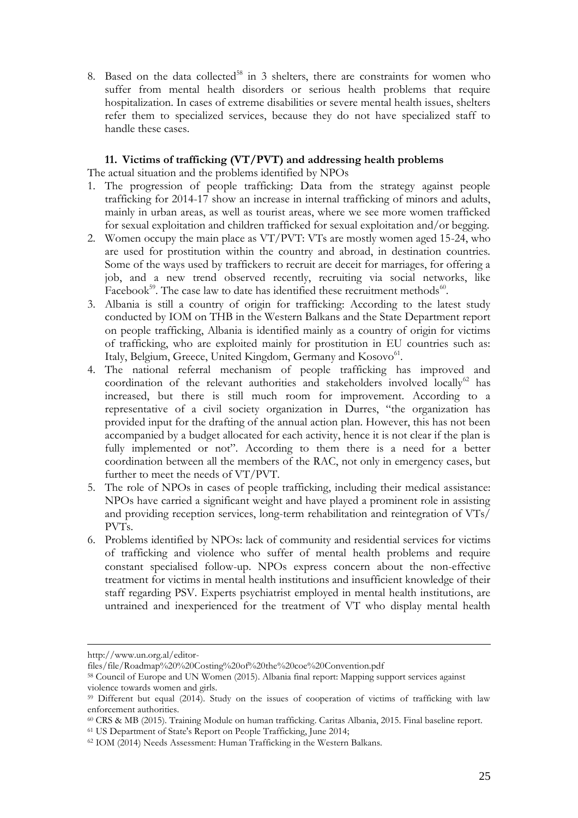8. Based on the data collected $58$  in 3 shelters, there are constraints for women who suffer from mental health disorders or serious health problems that require hospitalization. In cases of extreme disabilities or severe mental health issues, shelters refer them to specialized services, because they do not have specialized staff to handle these cases.

### **11. Victims of trafficking (VT/PVT) and addressing health problems**

The actual situation and the problems identified by NPOs

- 1. The progression of people trafficking: Data from the strategy against people trafficking for 2014-17 show an increase in internal trafficking of minors and adults, mainly in urban areas, as well as tourist areas, where we see more women trafficked for sexual exploitation and children trafficked for sexual exploitation and/or begging.
- 2. Women occupy the main place as VT/PVT: VTs are mostly women aged 15-24, who are used for prostitution within the country and abroad, in destination countries. Some of the ways used by traffickers to recruit are deceit for marriages, for offering a job, and a new trend observed recently, recruiting via social networks, like Facebook<sup>59</sup>. The case law to date has identified these recruitment methods<sup>60</sup>.
- 3. Albania is still a country of origin for trafficking: According to the latest study conducted by IOM on THB in the Western Balkans and the State Department report on people trafficking, Albania is identified mainly as a country of origin for victims of trafficking, who are exploited mainly for prostitution in EU countries such as: Italy, Belgium, Greece, United Kingdom, Germany and Kosovo<sup>61</sup>.
- 4. The national referral mechanism of people trafficking has improved and coordination of the relevant authorities and stakeholders involved locally<sup>62</sup> has increased, but there is still much room for improvement. According to a representative of a civil society organization in Durres, "the organization has provided input for the drafting of the annual action plan. However, this has not been accompanied by a budget allocated for each activity, hence it is not clear if the plan is fully implemented or not". According to them there is a need for a better coordination between all the members of the RAC, not only in emergency cases, but further to meet the needs of VT/PVT.
- 5. The role of NPOs in cases of people trafficking, including their medical assistance: NPOs have carried a significant weight and have played a prominent role in assisting and providing reception services, long-term rehabilitation and reintegration of VTs/ PVTs.
- 6. Problems identified by NPOs: lack of community and residential services for victims of trafficking and violence who suffer of mental health problems and require constant specialised follow-up. NPOs express concern about the non-effective treatment for victims in mental health institutions and insufficient knowledge of their staff regarding PSV. Experts psychiatrist employed in mental health institutions, are untrained and inexperienced for the treatment of VT who display mental health

 $\overline{a}$ 

<sup>61</sup> US Department of State's Report on People Trafficking, June 2014;

[http://www.un.org.al/editor-](http://www.un.org.al/editor-files/file/Roadmap%20%20Costing%20of%20the%20coe%20Convention.pdf)

[files/file/Roadmap%20%20Costing%20of%20the%20coe%20Convention.pdf](http://www.un.org.al/editor-files/file/Roadmap%20%20Costing%20of%20the%20coe%20Convention.pdf)

<sup>58</sup> Council of Europe and UN Women (2015). Albania final report: Mapping support services against violence towards women and girls.

<sup>&</sup>lt;sup>59</sup> Different but equal (2014). Study on the issues of cooperation of victims of trafficking with law enforcement authorities.

<sup>60</sup> CRS & MB (2015). Training Module on human trafficking. Caritas Albania, 2015. Final baseline report.

<sup>62</sup> IOM (2014) Needs Assessment: Human Trafficking in the Western Balkans.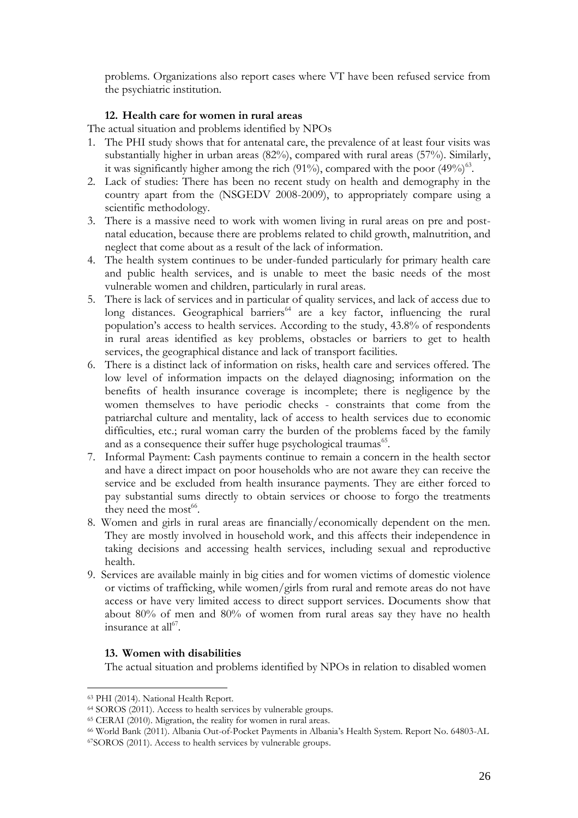problems. Organizations also report cases where VT have been refused service from the psychiatric institution.

### **12. Health care for women in rural areas**

The actual situation and problems identified by NPOs

- 1. The PHI study shows that for antenatal care, the prevalence of at least four visits was substantially higher in urban areas (82%), compared with rural areas (57%). Similarly, it was significantly higher among the rich (91%), compared with the poor (49%) $^{63}$ .
- 2. Lack of studies: There has been no recent study on health and demography in the country apart from the (NSGEDV 2008-2009), to appropriately compare using a scientific methodology.
- 3. There is a massive need to work with women living in rural areas on pre and postnatal education, because there are problems related to child growth, malnutrition, and neglect that come about as a result of the lack of information.
- 4. The health system continues to be under-funded particularly for primary health care and public health services, and is unable to meet the basic needs of the most vulnerable women and children, particularly in rural areas.
- 5. There is lack of services and in particular of quality services, and lack of access due to long distances. Geographical barriers<sup>64</sup> are a key factor, influencing the rural population's access to health services. According to the study, 43.8% of respondents in rural areas identified as key problems, obstacles or barriers to get to health services, the geographical distance and lack of transport facilities.
- 6. There is a distinct lack of information on risks, health care and services offered. The low level of information impacts on the delayed diagnosing; information on the benefits of health insurance coverage is incomplete; there is negligence by the women themselves to have periodic checks - constraints that come from the patriarchal culture and mentality, lack of access to health services due to economic difficulties, etc.; rural woman carry the burden of the problems faced by the family and as a consequence their suffer huge psychological traumas<sup>65</sup>.
- 7. Informal Payment: Cash payments continue to remain a concern in the health sector and have a direct impact on poor households who are not aware they can receive the service and be excluded from health insurance payments. They are either forced to pay substantial sums directly to obtain services or choose to forgo the treatments they need the most<sup>66</sup>.
- 8. Women and girls in rural areas are financially/economically dependent on the men. They are mostly involved in household work, and this affects their independence in taking decisions and accessing health services, including sexual and reproductive health.
- 9. Services are available mainly in big cities and for women victims of domestic violence or victims of trafficking, while women/girls from rural and remote areas do not have access or have very limited access to direct support services. Documents show that about 80% of men and 80% of women from rural areas say they have no health insurance at all $^{67}$ .

### **13. Women with disabilities**

The actual situation and problems identified by NPOs in relation to disabled women

<sup>63</sup> PHI (2014). National Health Report.

<sup>64</sup> SOROS (2011). Access to health services by vulnerable groups.

<sup>65</sup> CERAI (2010). Migration, the reality for women in rural areas.

<sup>66</sup> World Bank (2011). Albania Out-of-Pocket Payments in Albania's Health System. Report No. 64803-AL <sup>67</sup>SOROS (2011). Access to health services by vulnerable groups.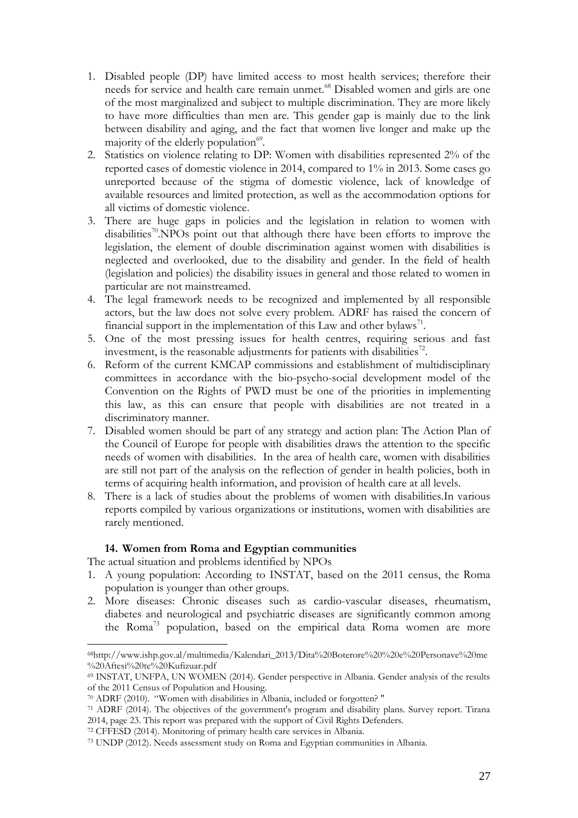- 1. Disabled people (DP) have limited access to most health services; therefore their needs for service and health care remain unmet.<sup>68</sup> Disabled women and girls are one of the most marginalized and subject to multiple discrimination. They are more likely to have more difficulties than men are. This gender gap is mainly due to the link between disability and aging, and the fact that women live longer and make up the majority of the elderly population $^{69}$ .
- 2. Statistics on violence relating to DP: Women with disabilities represented 2% of the reported cases of domestic violence in 2014, compared to 1% in 2013. Some cases go unreported because of the stigma of domestic violence, lack of knowledge of available resources and limited protection, as well as the accommodation options for all victims of domestic violence.
- 3. There are huge gaps in policies and the legislation in relation to women with disabilities<sup>70</sup>. NPOs point out that although there have been efforts to improve the legislation, the element of double discrimination against women with disabilities is neglected and overlooked, due to the disability and gender. In the field of health (legislation and policies) the disability issues in general and those related to women in particular are not mainstreamed.
- 4. The legal framework needs to be recognized and implemented by all responsible actors, but the law does not solve every problem. ADRF has raised the concern of financial support in the implementation of this Law and other bylaws<sup>71</sup>.
- 5. One of the most pressing issues for health centres, requiring serious and fast investment, is the reasonable adjustments for patients with disabilities<sup>72</sup>.
- 6. Reform of the current KMCAP commissions and establishment of multidisciplinary committees in accordance with the bio-psycho-social development model of the Convention on the Rights of PWD must be one of the priorities in implementing this law, as this can ensure that people with disabilities are not treated in a discriminatory manner.
- 7. Disabled women should be part of any strategy and action plan: The Action Plan of the Council of Europe for people with disabilities draws the attention to the specific needs of women with disabilities. In the area of health care, women with disabilities are still not part of the analysis on the reflection of gender in health policies, both in terms of acquiring health information, and provision of health care at all levels.
- 8. There is a lack of studies about the problems of women with disabilities.In various reports compiled by various organizations or institutions, women with disabilities are rarely mentioned.

### **14. Women from Roma and Egyptian communities**

The actual situation and problems identified by NPOs

- 1. A young population: According to INSTAT, based on the 2011 census, the Roma population is younger than other groups.
- 2. More diseases: Chronic diseases such as cardio-vascular diseases, rheumatism, diabetes and neurological and psychiatric diseases are significantly common among the Roma<sup>73</sup> population, based on the empirical data. Roma women are more

<sup>68</sup>http://www.ishp.gov.al/multimedia/Kalendari\_2013/Dita%20Boterore%20%20e%20Personave%20me %20Aftesi%20te%20Kufizuar.pdf

<sup>69</sup> INSTAT, UNFPA, UN WOMEN (2014). Gender perspective in Albania. Gender analysis of the results of the 2011 Census of Population and Housing.

<sup>70</sup> ADRF (2010). "Women with disabilities in Albania, included or forgotten? "

<sup>71</sup> ADRF (2014). The objectives of the government's program and disability plans. Survey report. Tirana 2014, page 23. This report was prepared with the support of Civil Rights Defenders.

<sup>72</sup> CFFESD (2014). Monitoring of primary health care services in Albania.

<sup>73</sup> UNDP (2012). Needs assessment study on Roma and Egyptian communities in Albania.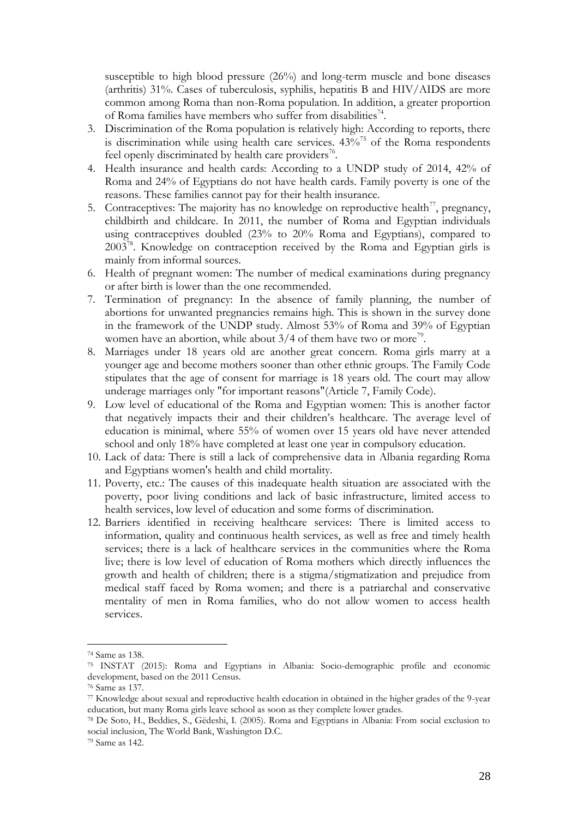susceptible to high blood pressure (26%) and long-term muscle and bone diseases (arthritis) 31%. Cases of tuberculosis, syphilis, hepatitis B and HIV/AIDS are more common among Roma than non-Roma population. In addition, a greater proportion of Roma families have members who suffer from disabilities<sup>74</sup>.

- 3. Discrimination of the Roma population is relatively high: According to reports, there is discrimination while using health care services.  $43\%$ <sup>75</sup> of the Roma respondents feel openly discriminated by health care providers<sup>76</sup>.
- 4. Health insurance and health cards: According to a UNDP study of 2014, 42% of Roma and 24% of Egyptians do not have health cards. Family poverty is one of the reasons. These families cannot pay for their health insurance.
- 5. Contraceptives: The majority has no knowledge on reproductive health<sup>77</sup>, pregnancy, childbirth and childcare. In 2011, the number of Roma and Egyptian individuals using contraceptives doubled (23% to 20% Roma and Egyptians), compared to 2003<sup>78</sup>. Knowledge on contraception received by the Roma and Egyptian girls is mainly from informal sources.
- 6. Health of pregnant women: The number of medical examinations during pregnancy or after birth is lower than the one recommended.
- 7. Termination of pregnancy: In the absence of family planning, the number of abortions for unwanted pregnancies remains high. This is shown in the survey done in the framework of the UNDP study. Almost 53% of Roma and 39% of Egyptian women have an abortion, while about  $3/4$  of them have two or more<sup>79</sup>.
- 8. Marriages under 18 years old are another great concern. Roma girls marry at a younger age and become mothers sooner than other ethnic groups. The Family Code stipulates that the age of consent for marriage is 18 years old. The court may allow underage marriages only "for important reasons"(Article 7, Family Code).
- 9. Low level of educational of the Roma and Egyptian women: This is another factor that negatively impacts their and their children's healthcare. The average level of education is minimal, where 55% of women over 15 years old have never attended school and only 18% have completed at least one year in compulsory education.
- 10. Lack of data: There is still a lack of comprehensive data in Albania regarding Roma and Egyptians women's health and child mortality.
- 11. Poverty, etc.: The causes of this inadequate health situation are associated with the poverty, poor living conditions and lack of basic infrastructure, limited access to health services, low level of education and some forms of discrimination.
- 12. Barriers identified in receiving healthcare services: There is limited access to information, quality and continuous health services, as well as free and timely health services; there is a lack of healthcare services in the communities where the Roma live; there is low level of education of Roma mothers which directly influences the growth and health of children; there is a stigma/stigmatization and prejudice from medical staff faced by Roma women; and there is a patriarchal and conservative mentality of men in Roma families, who do not allow women to access health services.

<sup>74</sup> Same as 138.

<sup>75</sup> INSTAT (2015): Roma and Egyptians in Albania: Socio-demographic profile and economic development, based on the 2011 Census.

<sup>76</sup> Same as 137.

<sup>77</sup> Knowledge about sexual and reproductive health education in obtained in the higher grades of the 9-year education, but many Roma girls leave school as soon as they complete lower grades.

<sup>78</sup> De Soto, H., Beddies, S., Gëdeshi, I. (2005). Roma and Egyptians in Albania: From social exclusion to social inclusion, The World Bank, Washington D.C.

<sup>79</sup> Same as 142.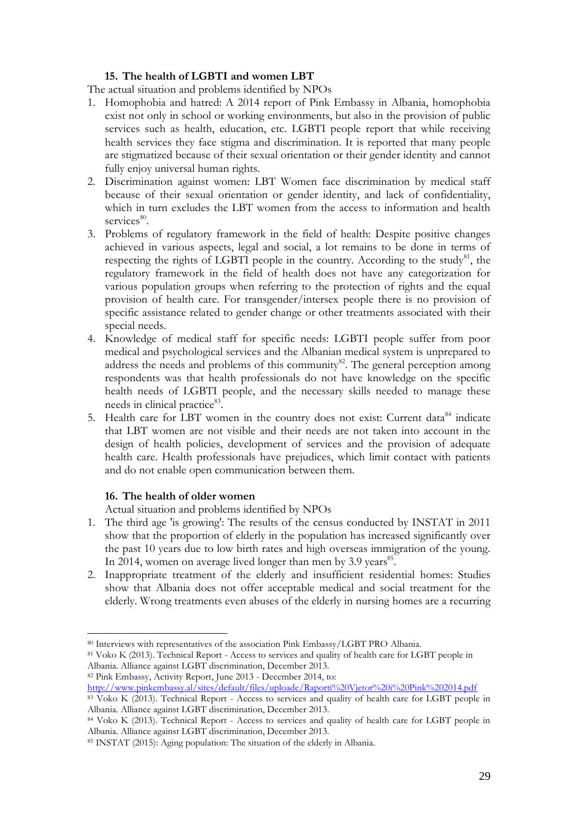## **15. The health of LGBTI and women LBT**

The actual situation and problems identified by NPOs

- 1. Homophobia and hatred: A 2014 report of Pink Embassy in Albania, homophobia exist not only in school or working environments, but also in the provision of public services such as health, education, etc. LGBTI people report that while receiving health services they face stigma and discrimination. It is reported that many people are stigmatized because of their sexual orientation or their gender identity and cannot fully enjoy universal human rights.
- 2. Discrimination against women: LBT Women face discrimination by medical staff because of their sexual orientation or gender identity, and lack of confidentiality, which in turn excludes the LBT women from the access to information and health services<sup>80</sup>.
- 3. Problems of regulatory framework in the field of health: Despite positive changes achieved in various aspects, legal and social, a lot remains to be done in terms of respecting the rights of LGBTI people in the country. According to the study<sup>81</sup>, the regulatory framework in the field of health does not have any categorization for various population groups when referring to the protection of rights and the equal provision of health care. For transgender/intersex people there is no provision of specific assistance related to gender change or other treatments associated with their special needs.
- 4. Knowledge of medical staff for specific needs: LGBTI people suffer from poor medical and psychological services and the Albanian medical system is unprepared to address the needs and problems of this community<sup>82</sup>. The general perception among respondents was that health professionals do not have knowledge on the specific health needs of LGBTI people, and the necessary skills needed to manage these needs in clinical practice<sup>83</sup>.
- 5. Health care for LBT women in the country does not exist: Current data<sup>84</sup> indicate that LBT women are not visible and their needs are not taken into account in the design of health policies, development of services and the provision of adequate health care. Health professionals have prejudices, which limit contact with patients and do not enable open communication between them.

### **16. The health of older women**

Actual situation and problems identified by NPOs

- 1. The third age 'is growing': The results of the census conducted by INSTAT in 2011 show that the proportion of elderly in the population has increased significantly over the past 10 years due to low birth rates and high overseas immigration of the young. In 2014, women on average lived longer than men by 3.9 years<sup>85</sup>.
- 2. Inappropriate treatment of the elderly and insufficient residential homes: Studies show that Albania does not offer acceptable medical and social treatment for the elderly. Wrong treatments even abuses of the elderly in nursing homes are a recurring

 $\overline{a}$ <sup>80</sup> Interviews with representatives of the association Pink Embassy/LGBT PRO Albania.

<sup>81</sup> Voko K (2013). Technical Report - Access to services and quality of health care for LGBT people in Albania. Alliance against LGBT discrimination, December 2013.

<sup>82</sup> Pink Embassy, Activity Report, June 2013 - December 2014, to: <http://www.pinkembassy.al/sites/default/files/uploade/Raporti%20Vjetor%20i%20Pink%202014.pdf>

<sup>83</sup> Voko K (2013). Technical Report - Access to services and quality of health care for LGBT people in Albania. Alliance against LGBT discrimination, December 2013.

<sup>84</sup> Voko K (2013). Technical Report - Access to services and quality of health care for LGBT people in Albania. Alliance against LGBT discrimination, December 2013.

<sup>85</sup> INSTAT (2015): Aging population: The situation of the elderly in Albania.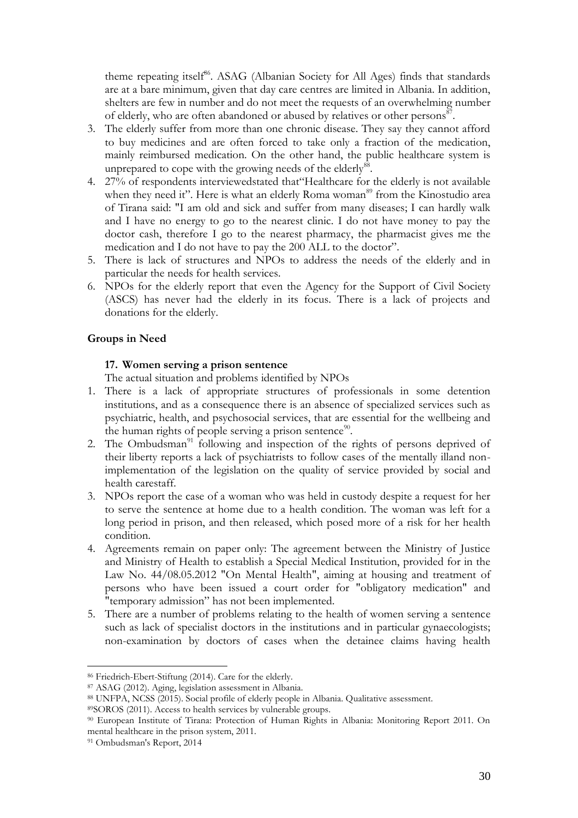theme repeating itself<sup>86</sup>. ASAG (Albanian Society for All Ages) finds that standards are at a bare minimum, given that day care centres are limited in Albania. In addition, shelters are few in number and do not meet the requests of an overwhelming number of elderly, who are often abandoned or abused by relatives or other persons<sup>87</sup>.

- 3. The elderly suffer from more than one chronic disease. They say they cannot afford to buy medicines and are often forced to take only a fraction of the medication, mainly reimbursed medication. On the other hand, the public healthcare system is unprepared to cope with the growing needs of the elderly<sup>88</sup>.
- 4. 27% of respondents interviewedstated that"Healthcare for the elderly is not available when they need it". Here is what an elderly Roma woman<sup>89</sup> from the Kinostudio area of Tirana said: "I am old and sick and suffer from many diseases; I can hardly walk and I have no energy to go to the nearest clinic. I do not have money to pay the doctor cash, therefore I go to the nearest pharmacy, the pharmacist gives me the medication and I do not have to pay the 200 ALL to the doctor".
- 5. There is lack of structures and NPOs to address the needs of the elderly and in particular the needs for health services.
- 6. NPOs for the elderly report that even the Agency for the Support of Civil Society (ASCS) has never had the elderly in its focus. There is a lack of projects and donations for the elderly.

### **Groups in Need**

#### **17. Women serving a prison sentence**

The actual situation and problems identified by NPOs

- 1. There is a lack of appropriate structures of professionals in some detention institutions, and as a consequence there is an absence of specialized services such as psychiatric, health, and psychosocial services, that are essential for the wellbeing and the human rights of people serving a prison sentence<sup>90</sup>.
- 2. The Ombudsman $91$  following and inspection of the rights of persons deprived of their liberty reports a lack of psychiatrists to follow cases of the mentally illand nonimplementation of the legislation on the quality of service provided by social and health carestaff.
- 3. NPOs report the case of a woman who was held in custody despite a request for her to serve the sentence at home due to a health condition. The woman was left for a long period in prison, and then released, which posed more of a risk for her health condition.
- 4. Agreements remain on paper only: The agreement between the Ministry of Justice and Ministry of Health to establish a Special Medical Institution, provided for in the Law No. 44/08.05.2012 "On Mental Health", aiming at housing and treatment of persons who have been issued a court order for "obligatory medication" and "temporary admission" has not been implemented.
- 5. There are a number of problems relating to the health of women serving a sentence such as lack of specialist doctors in the institutions and in particular gynaecologists; non-examination by doctors of cases when the detainee claims having health

<sup>86</sup> Friedrich-Ebert-Stiftung (2014). Care for the elderly.

<sup>87</sup> ASAG (2012). Aging, legislation assessment in Albania.

<sup>88</sup> UNFPA, NCSS (2015). Social profile of elderly people in Albania. Qualitative assessment.

<sup>89</sup>SOROS (2011). Access to health services by vulnerable groups.

<sup>90</sup> European Institute of Tirana: Protection of Human Rights in Albania: Monitoring Report 2011. On mental healthcare in the prison system, 2011.

<sup>91</sup> Ombudsman's Report, 2014